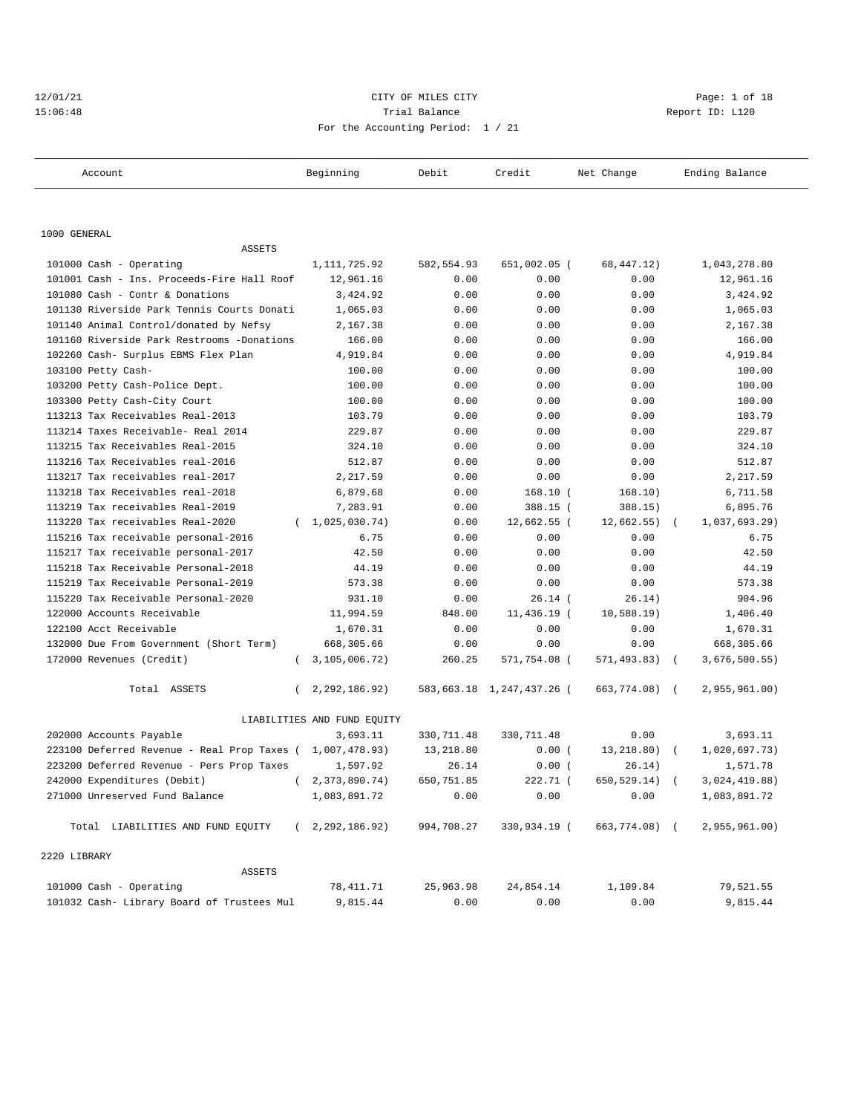## 12/01/21 CITY OF MILES CITY Page: 1 of 18 15:06:48 Trial Balance Report ID: L120 For the Accounting Period: 1 / 21

| Account                                     | Beginning                   | Debit      | Credit                    | Net Change               | Ending Balance   |
|---------------------------------------------|-----------------------------|------------|---------------------------|--------------------------|------------------|
|                                             |                             |            |                           |                          |                  |
| 1000 GENERAL                                |                             |            |                           |                          |                  |
| <b>ASSETS</b>                               |                             |            |                           |                          |                  |
| 101000 Cash - Operating                     | 1, 111, 725.92              | 582,554.93 | 651,002.05 (              | 68, 447. 12)             | 1,043,278.80     |
| 101001 Cash - Ins. Proceeds-Fire Hall Roof  | 12,961.16                   | 0.00       | 0.00                      | 0.00                     | 12,961.16        |
| 101080 Cash - Contr & Donations             | 3,424.92                    | 0.00       | 0.00                      | 0.00                     | 3,424.92         |
| 101130 Riverside Park Tennis Courts Donati  | 1,065.03                    | 0.00       | 0.00                      | 0.00                     | 1,065.03         |
| 101140 Animal Control/donated by Nefsy      | 2,167.38                    | 0.00       | 0.00                      | 0.00                     | 2,167.38         |
| 101160 Riverside Park Restrooms -Donations  | 166.00                      | 0.00       | 0.00                      | 0.00                     | 166.00           |
| 102260 Cash- Surplus EBMS Flex Plan         | 4,919.84                    | 0.00       | 0.00                      | 0.00                     | 4,919.84         |
| 103100 Petty Cash-                          | 100.00                      | 0.00       | 0.00                      | 0.00                     | 100.00           |
| 103200 Petty Cash-Police Dept.              | 100.00                      | 0.00       | 0.00                      | 0.00                     | 100.00           |
| 103300 Petty Cash-City Court                | 100.00                      | 0.00       | 0.00                      | 0.00                     | 100.00           |
| 113213 Tax Receivables Real-2013            | 103.79                      | 0.00       | 0.00                      | 0.00                     | 103.79           |
| 113214 Taxes Receivable- Real 2014          | 229.87                      | 0.00       | 0.00                      | 0.00                     | 229.87           |
| 113215 Tax Receivables Real-2015            | 324.10                      | 0.00       | 0.00                      | 0.00                     | 324.10           |
| 113216 Tax Receivables real-2016            | 512.87                      | 0.00       | 0.00                      | 0.00                     | 512.87           |
| 113217 Tax receivables real-2017            | 2,217.59                    | 0.00       | 0.00                      | 0.00                     | 2,217.59         |
| 113218 Tax Receivables real-2018            | 6,879.68                    | 0.00       | 168.10 (                  | 168.10)                  | 6,711.58         |
| 113219 Tax receivables Real-2019            | 7,283.91                    | 0.00       | 388.15 (                  | 388.15)                  | 6,895.76         |
| 113220 Tax receivables Real-2020            | 1,025,030.74)<br>$\left($   | 0.00       | 12,662.55 (               | $12,662.55$ )            | $1,037,693.29$ ) |
| 115216 Tax receivable personal-2016         | 6.75                        | 0.00       | 0.00                      | 0.00                     | 6.75             |
| 115217 Tax receivable personal-2017         | 42.50                       | 0.00       | 0.00                      | 0.00                     | 42.50            |
| 115218 Tax Receivable Personal-2018         | 44.19                       | 0.00       | 0.00                      | 0.00                     | 44.19            |
| 115219 Tax Receivable Personal-2019         | 573.38                      | 0.00       | 0.00                      | 0.00                     | 573.38           |
| 115220 Tax Receivable Personal-2020         | 931.10                      | 0.00       | $26.14$ (                 | 26.14)                   | 904.96           |
| 122000 Accounts Receivable                  | 11,994.59                   | 848.00     | 11,436.19 (               | 10,588.19)               | 1,406.40         |
| 122100 Acct Receivable                      | 1,670.31                    | 0.00       | 0.00                      | 0.00                     | 1,670.31         |
| 132000 Due From Government (Short Term)     | 668,305.66                  | 0.00       | 0.00                      | 0.00                     | 668,305.66       |
| 172000 Revenues (Credit)<br>$\left($        | 3,105,006.72)               | 260.25     | 571,754.08 (              | 571,493.83)              | 3,676,500.55)    |
| Total ASSETS<br>$\left($                    | 2,292,186.92)               |            | 583,663.18 1,247,437.26 ( | 663,774.08) (            | 2,955,961.00)    |
|                                             | LIABILITIES AND FUND EQUITY |            |                           |                          |                  |
| 202000 Accounts Payable                     | 3,693.11                    | 330,711.48 | 330,711.48                | 0.00                     | 3,693.11         |
| 223100 Deferred Revenue - Real Prop Taxes ( | 1,007,478.93)               | 13,218.80  | 0.00(                     | 13,218.80)<br>$\sqrt{2}$ | 1,020,697.73)    |
| 223200 Deferred Revenue - Pers Prop Taxes   | 1,597.92                    | 26.14      | 0.00(                     | 26.14)                   | 1,571.78         |
| 242000 Expenditures (Debit)                 | 2,373,890.74)               | 650,751.85 | 222.71 (                  | 650,529.14)              | 3,024,419.88)    |
| 271000 Unreserved Fund Balance              | 1,083,891.72                | 0.00       | 0.00                      | 0.00                     | 1,083,891.72     |
| Total LIABILITIES AND FUND EQUITY           | 2, 292, 186.92)<br>$\left($ | 994,708.27 | 330,934.19 (              | 663,774.08) (            | 2,955,961.00)    |
| 2220 LIBRARY                                |                             |            |                           |                          |                  |
| <b>ASSETS</b>                               |                             |            |                           |                          |                  |
| 101000 Cash - Operating                     | 78,411.71                   | 25,963.98  | 24,854.14                 | 1,109.84                 | 79,521.55        |
| 101032 Cash- Library Board of Trustees Mul  | 9,815.44                    | 0.00       | 0.00                      | 0.00                     | 9,815.44         |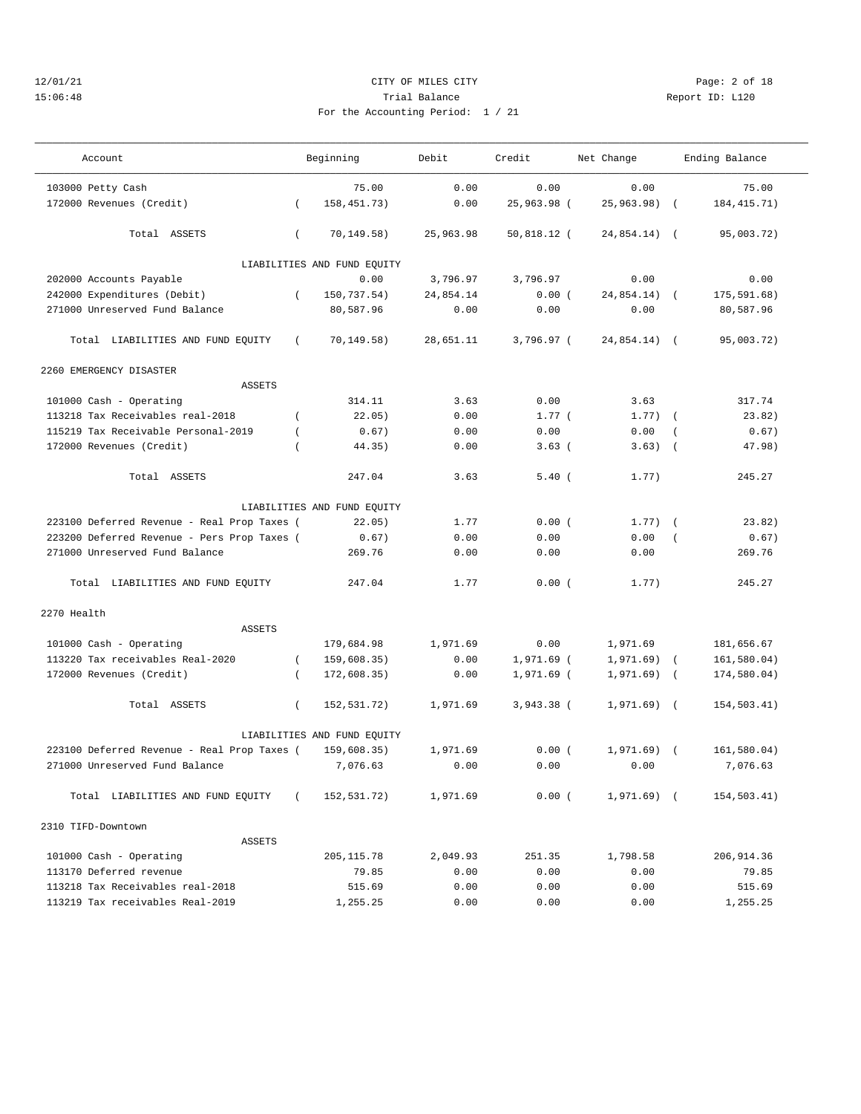## 12/01/21 CITY OF MILES CITY Page: 2 of 18 15:06:48 Trial Balance Report ID: L120 For the Accounting Period: 1 / 21

| Account                                                |                | Beginning                   | Debit     | Credit        | Net Change   |                | Ending Balance |
|--------------------------------------------------------|----------------|-----------------------------|-----------|---------------|--------------|----------------|----------------|
| 103000 Petty Cash                                      |                | 75.00                       | 0.00      | 0.00          | 0.00         |                | 75.00          |
| 172000 Revenues (Credit)                               | $\left($       | 158, 451. 73)               | 0.00      | 25,963.98 (   | 25,963.98)   | $\sqrt{2}$     | 184, 415. 71)  |
| Total ASSETS                                           | $\left($       | 70, 149.58)                 | 25,963.98 | $50,818.12$ ( | 24,854.14) ( |                | 95,003.72)     |
|                                                        |                | LIABILITIES AND FUND EQUITY |           |               |              |                |                |
|                                                        |                | 0.00                        | 3,796.97  | 3,796.97      | 0.00         |                | 0.00           |
| 202000 Accounts Payable<br>242000 Expenditures (Debit) | $\overline{ }$ | 150,737.54)                 | 24,854.14 | 0.00(         | 24,854.14)   | $\sqrt{2}$     | 175,591.68)    |
| 271000 Unreserved Fund Balance                         |                | 80,587.96                   | 0.00      | 0.00          | 0.00         |                | 80,587.96      |
|                                                        |                |                             |           |               |              |                |                |
| Total LIABILITIES AND FUND EQUITY                      | $\left($       | 70, 149.58)                 | 28,651.11 | 3,796.97 (    | 24,854.14) ( |                | 95,003.72)     |
| 2260 EMERGENCY DISASTER                                |                |                             |           |               |              |                |                |
| <b>ASSETS</b>                                          |                |                             |           |               |              |                |                |
| 101000 Cash - Operating                                |                | 314.11                      | 3.63      | 0.00          | 3.63         |                | 317.74         |
| 113218 Tax Receivables real-2018                       | $\left($       | 22.05)                      | 0.00      | $1.77$ (      | $1.77)$ (    |                | 23.82)         |
| 115219 Tax Receivable Personal-2019                    | $\overline{ }$ | 0.67)                       | 0.00      | 0.00          | 0.00         | $\overline{ }$ | 0.67)          |
| 172000 Revenues (Credit)                               |                | 44.35)                      | 0.00      | 3.63(         | 3.63)        | $\sqrt{2}$     | 47.98)         |
| Total ASSETS                                           |                | 247.04                      | 3.63      | 5.40(         | 1.77)        |                | 245.27         |
|                                                        |                | LIABILITIES AND FUND EQUITY |           |               |              |                |                |
| 223100 Deferred Revenue - Real Prop Taxes (            |                | 22.05)                      | 1.77      | 0.00(         | $1.77)$ (    |                | 23.82)         |
| 223200 Deferred Revenue - Pers Prop Taxes (            |                | 0.67)                       | 0.00      | 0.00          | 0.00         | $\left($       | 0.67)          |
| 271000 Unreserved Fund Balance                         |                | 269.76                      | 0.00      | 0.00          | 0.00         |                | 269.76         |
| Total LIABILITIES AND FUND EQUITY                      |                | 247.04                      | 1.77      | 0.00(         | 1.77)        |                | 245.27         |
| 2270 Health                                            |                |                             |           |               |              |                |                |
| <b>ASSETS</b>                                          |                |                             |           |               |              |                |                |
| 101000 Cash - Operating                                |                | 179,684.98                  | 1,971.69  | 0.00          | 1,971.69     |                | 181,656.67     |
| 113220 Tax receivables Real-2020                       | $\left($       | 159,608.35)                 | 0.00      | 1,971.69 (    | 1,971.69)    | $\left($       | 161,580.04)    |
| 172000 Revenues (Credit)                               | $\left($       | 172,608.35)                 | 0.00      | 1,971.69 (    | 1,971.69)    | $\sqrt{ }$     | 174,580.04)    |
| Total ASSETS                                           | $\left($       | 152,531.72)                 | 1,971.69  | 3,943.38 (    | $1,971.69$ ( |                | 154,503.41)    |
|                                                        |                | LIABILITIES AND FUND EQUITY |           |               |              |                |                |
| 223100 Deferred Revenue - Real Prop Taxes (            |                | 159,608.35)                 | 1,971.69  | 0.00(         | 1,971.69)    | $\sqrt{2}$     | 161,580.04)    |
| 271000 Unreserved Fund Balance                         |                | 7,076.63                    | 0.00      | 0.00          | 0.00         |                | 7,076.63       |
| Total LIABILITIES AND FUND EQUITY                      |                | 152,531.72)                 | 1,971.69  | 0.00(         | $1,971.69$ ( |                | 154,503.41)    |
|                                                        |                |                             |           |               |              |                |                |
| 2310 TIFD-Downtown                                     |                |                             |           |               |              |                |                |
| <b>ASSETS</b>                                          |                |                             |           |               |              |                |                |
| 101000 Cash - Operating                                |                | 205, 115.78                 | 2,049.93  | 251.35        | 1,798.58     |                | 206,914.36     |
| 113170 Deferred revenue                                |                | 79.85                       | 0.00      | 0.00          | 0.00         |                | 79.85          |
| 113218 Tax Receivables real-2018                       |                | 515.69                      | 0.00      | 0.00          | 0.00         |                | 515.69         |
| 113219 Tax receivables Real-2019                       |                | 1,255.25                    | 0.00      | 0.00          | 0.00         |                | 1,255.25       |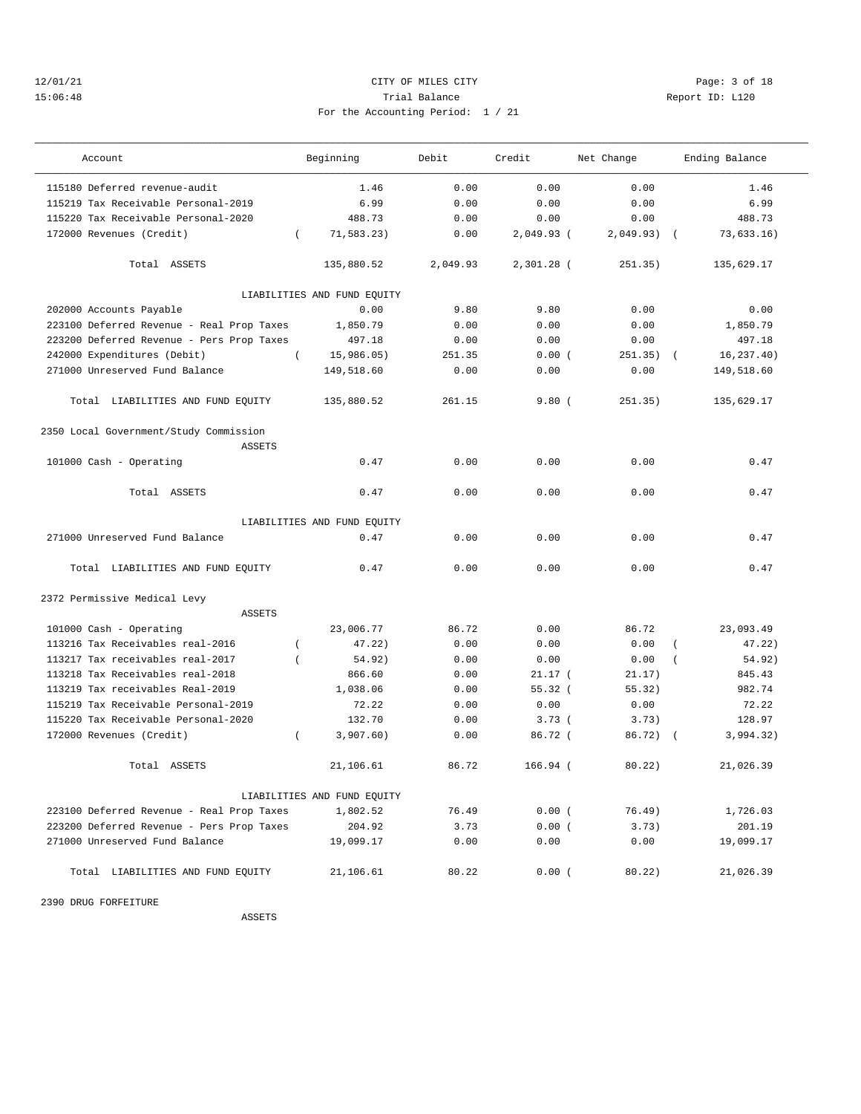## 12/01/21 CITY OF MILES CITY Page: 3 of 18 15:06:48 Trial Balance Report ID: L120 For the Accounting Period: 1 / 21

| Account                                                 | Beginning                   | Debit    | Credit       | Net Change | Ending Balance           |
|---------------------------------------------------------|-----------------------------|----------|--------------|------------|--------------------------|
| 115180 Deferred revenue-audit                           | 1.46                        | 0.00     | 0.00         | 0.00       | 1.46                     |
| 115219 Tax Receivable Personal-2019                     | 6.99                        | 0.00     | 0.00         | 0.00       | 6.99                     |
| 115220 Tax Receivable Personal-2020                     | 488.73                      | 0.00     | 0.00         | 0.00       | 488.73                   |
| 172000 Revenues (Credit)                                | 71,583.23)<br>$\left($      | 0.00     | 2,049.93 (   | 2,049.93)  | 73,633.16)<br>$\sqrt{2}$ |
| Total ASSETS                                            | 135,880.52                  | 2,049.93 | $2,301.28$ ( | 251.35)    | 135,629.17               |
|                                                         | LIABILITIES AND FUND EQUITY |          |              |            |                          |
| 202000 Accounts Payable                                 | 0.00                        | 9.80     | 9.80         | 0.00       | 0.00                     |
| 223100 Deferred Revenue - Real Prop Taxes               | 1,850.79                    | 0.00     | 0.00         | 0.00       | 1,850.79                 |
| 223200 Deferred Revenue - Pers Prop Taxes               | 497.18                      | 0.00     | 0.00         | 0.00       | 497.18                   |
| 242000 Expenditures (Debit)                             | $\left($<br>15,986.05)      | 251.35   | 0.00(        | 251.35)    | 16, 237.40)              |
| 271000 Unreserved Fund Balance                          | 149,518.60                  | 0.00     | 0.00         | 0.00       | 149,518.60               |
| Total LIABILITIES AND FUND EQUITY                       | 135,880.52                  | 261.15   | 9.80(        | 251.35)    | 135,629.17               |
| 2350 Local Government/Study Commission<br><b>ASSETS</b> |                             |          |              |            |                          |
| 101000 Cash - Operating                                 | 0.47                        | 0.00     | 0.00         | 0.00       | 0.47                     |
| Total ASSETS                                            | 0.47                        | 0.00     | 0.00         | 0.00       | 0.47                     |
|                                                         | LIABILITIES AND FUND EQUITY |          |              |            |                          |
| 271000 Unreserved Fund Balance                          | 0.47                        | 0.00     | 0.00         | 0.00       | 0.47                     |
| Total LIABILITIES AND FUND EQUITY                       | 0.47                        | 0.00     | 0.00         | 0.00       | 0.47                     |
| 2372 Permissive Medical Levy                            |                             |          |              |            |                          |
| <b>ASSETS</b>                                           |                             |          |              |            |                          |
| 101000 Cash - Operating                                 | 23,006.77                   | 86.72    | 0.00         | 86.72      | 23,093.49                |
| 113216 Tax Receivables real-2016                        | 47.22)<br>$\overline{ }$    | 0.00     | 0.00         | 0.00       | 47.22)<br>$\overline{ }$ |
| 113217 Tax receivables real-2017                        | 54.92)<br>$\overline{ }$    | 0.00     | 0.00         | 0.00       | 54.92)                   |
| 113218 Tax Receivables real-2018                        | 866.60                      | 0.00     | $21.17$ (    | 21.17)     | 845.43                   |
| 113219 Tax receivables Real-2019                        | 1,038.06                    | 0.00     | 55.32(       | 55.32)     | 982.74                   |
| 115219 Tax Receivable Personal-2019                     | 72.22                       | 0.00     | 0.00         | 0.00       | 72.22                    |
| 115220 Tax Receivable Personal-2020                     | 132.70                      | 0.00     | 3.73(        | 3.73)      | 128.97                   |
| 172000 Revenues (Credit)                                | 3,907.60)<br>$\left($       | 0.00     | 86.72 (      | 86.72)     | 3,994.32)                |
| Total ASSETS                                            | 21,106.61                   | 86.72    | $166.94$ (   | 80.22)     | 21,026.39                |
|                                                         | LIABILITIES AND FUND EQUITY |          |              |            |                          |
| 223100 Deferred Revenue - Real Prop Taxes               | 1,802.52                    | 76.49    | 0.00(        | 76.49)     | 1,726.03                 |
| 223200 Deferred Revenue - Pers Prop Taxes               | 204.92                      | 3.73     | 0.00(        | 3.73)      | 201.19                   |
| 271000 Unreserved Fund Balance                          | 19,099.17                   | 0.00     | 0.00         | 0.00       | 19,099.17                |
| Total LIABILITIES AND FUND EQUITY                       | 21,106.61                   | 80.22    | 0.00(        | 80.22)     | 21,026.39                |

2390 DRUG FORFEITURE

ASSETS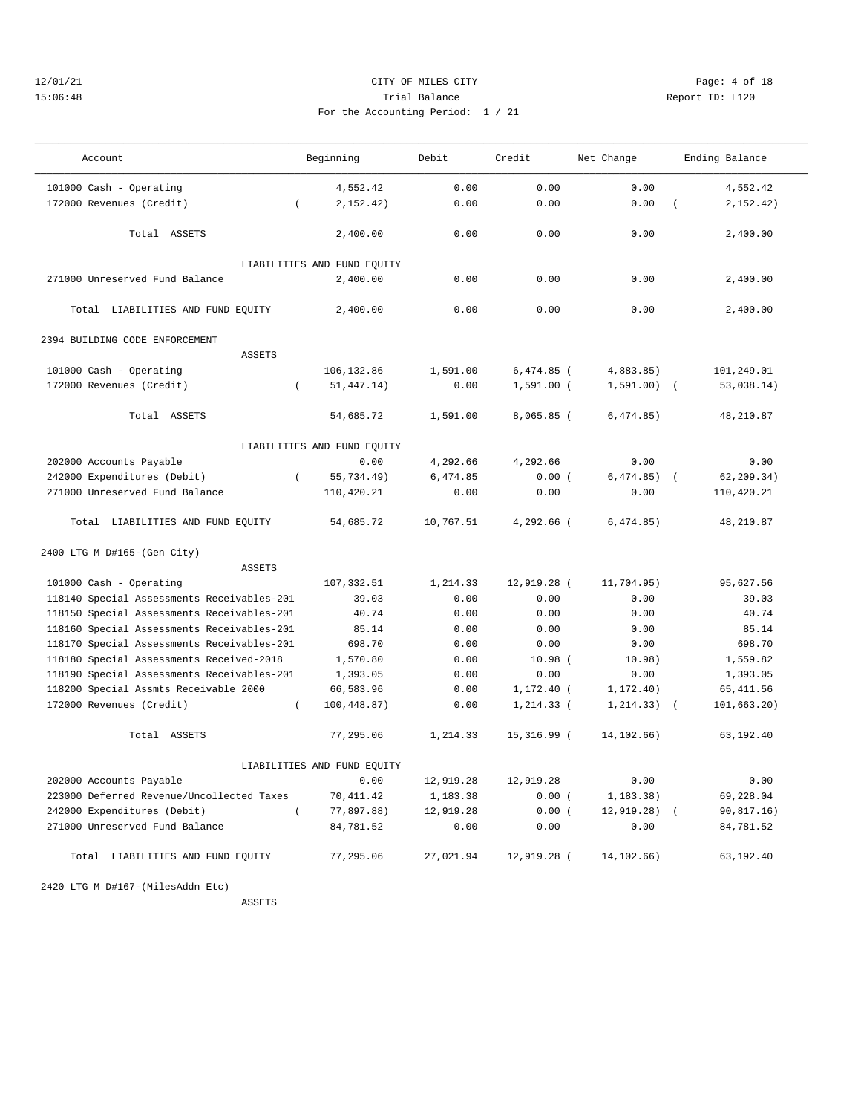## 12/01/21 CITY OF MILES CITY Page: 4 of 18 15:06:48 Trial Balance Report ID: L120 For the Accounting Period: 1 / 21

| Account                                    |          | Beginning                   | Debit     | Credit       | Net Change    |            | Ending Balance |
|--------------------------------------------|----------|-----------------------------|-----------|--------------|---------------|------------|----------------|
| 101000 Cash - Operating                    |          | 4,552.42                    | 0.00      | 0.00         | 0.00          |            | 4.552.42       |
| 172000 Revenues (Credit)                   | $\left($ | 2, 152, 42)                 | 0.00      | 0.00         | 0.00          | $\left($   | 2, 152, 42)    |
| Total ASSETS                               |          | 2,400.00                    | 0.00      | 0.00         | 0.00          |            | 2.400.00       |
|                                            |          | LIABILITIES AND FUND EQUITY |           |              |               |            |                |
| 271000 Unreserved Fund Balance             |          | 2,400.00                    | 0.00      | 0.00         | 0.00          |            | 2,400.00       |
| Total LIABILITIES AND FUND EQUITY          |          | 2,400.00                    | 0.00      | 0.00         | 0.00          |            | 2,400.00       |
| 2394 BUILDING CODE ENFORCEMENT             |          |                             |           |              |               |            |                |
| ASSETS                                     |          |                             |           |              |               |            |                |
| 101000 Cash - Operating                    |          | 106,132.86                  | 1,591.00  | $6,474.85$ ( | 4,883.85)     |            | 101,249.01     |
| 172000 Revenues (Credit)                   | $\left($ | 51, 447.14)                 | 0.00      | $1,591.00$ ( | $1,591.00)$ ( |            | 53,038.14)     |
| Total ASSETS                               |          | 54,685.72                   | 1,591.00  | $8,065.85$ ( | 6,474.85)     |            | 48,210.87      |
|                                            |          | LIABILITIES AND FUND EQUITY |           |              |               |            |                |
| 202000 Accounts Payable                    |          | 0.00                        | 4,292.66  | 4,292.66     | 0.00          |            | 0.00           |
| 242000 Expenditures (Debit)                | $\left($ | 55,734.49)                  | 6,474.85  | 0.00(        | 6,474.85)     | $\sqrt{2}$ | 62, 209.34)    |
| 271000 Unreserved Fund Balance             |          | 110,420.21                  | 0.00      | 0.00         | 0.00          |            | 110,420.21     |
| Total LIABILITIES AND FUND EQUITY          |          | 54,685.72                   | 10,767.51 | $4.292.66$ ( | 6,474.85)     |            | 48,210.87      |
| 2400 LTG M D#165-(Gen City)                |          |                             |           |              |               |            |                |
| <b>ASSETS</b>                              |          |                             |           |              |               |            |                |
| 101000 Cash - Operating                    |          | 107, 332.51                 | 1,214.33  | 12,919.28 (  | 11,704.95)    |            | 95,627.56      |
| 118140 Special Assessments Receivables-201 |          | 39.03                       | 0.00      | 0.00         | 0.00          |            | 39.03          |
| 118150 Special Assessments Receivables-201 |          | 40.74                       | 0.00      | 0.00         | 0.00          |            | 40.74          |
| 118160 Special Assessments Receivables-201 |          | 85.14                       | 0.00      | 0.00         | 0.00          |            | 85.14          |
| 118170 Special Assessments Receivables-201 |          | 698.70                      | 0.00      | 0.00         | 0.00          |            | 698.70         |
| 118180 Special Assessments Received-2018   |          | 1,570.80                    | 0.00      | 10.98(       | 10.98)        |            | 1,559.82       |
| 118190 Special Assessments Receivables-201 |          | 1,393.05                    | 0.00      | 0.00         | 0.00          |            | 1,393.05       |
| 118200 Special Assmts Receivable 2000      |          | 66,583.96                   | 0.00      | 1,172.40 (   | 1, 172.40)    |            | 65, 411.56     |
| 172000 Revenues (Credit)                   | $\left($ | 100,448.87)                 | 0.00      | $1,214.33$ ( | 1, 214.33)    | $\sqrt{ }$ | 101, 663.20)   |
| Total ASSETS                               |          | 77,295.06                   | 1,214.33  | 15,316.99 (  | 14, 102.66)   |            | 63,192.40      |
|                                            |          | LIABILITIES AND FUND EQUITY |           |              |               |            |                |
| 202000 Accounts Payable                    |          | 0.00                        | 12,919.28 | 12,919.28    | 0.00          |            | 0.00           |
| 223000 Deferred Revenue/Uncollected Taxes  |          | 70,411.42                   | 1,183.38  | 0.00(        | 1, 183.38)    |            | 69,228.04      |
| 242000 Expenditures (Debit)                | $\left($ | 77,897.88)                  | 12,919.28 | 0.00(        | 12, 919.28)   |            | 90,817.16)     |
| 271000 Unreserved Fund Balance             |          | 84,781.52                   | 0.00      | 0.00         | 0.00          |            | 84,781.52      |
| Total LIABILITIES AND FUND EQUITY          |          | 77,295.06                   | 27,021.94 | 12,919.28 (  | 14, 102.66)   |            | 63,192.40      |

2420 LTG M D#167-(MilesAddn Etc)

ASSETS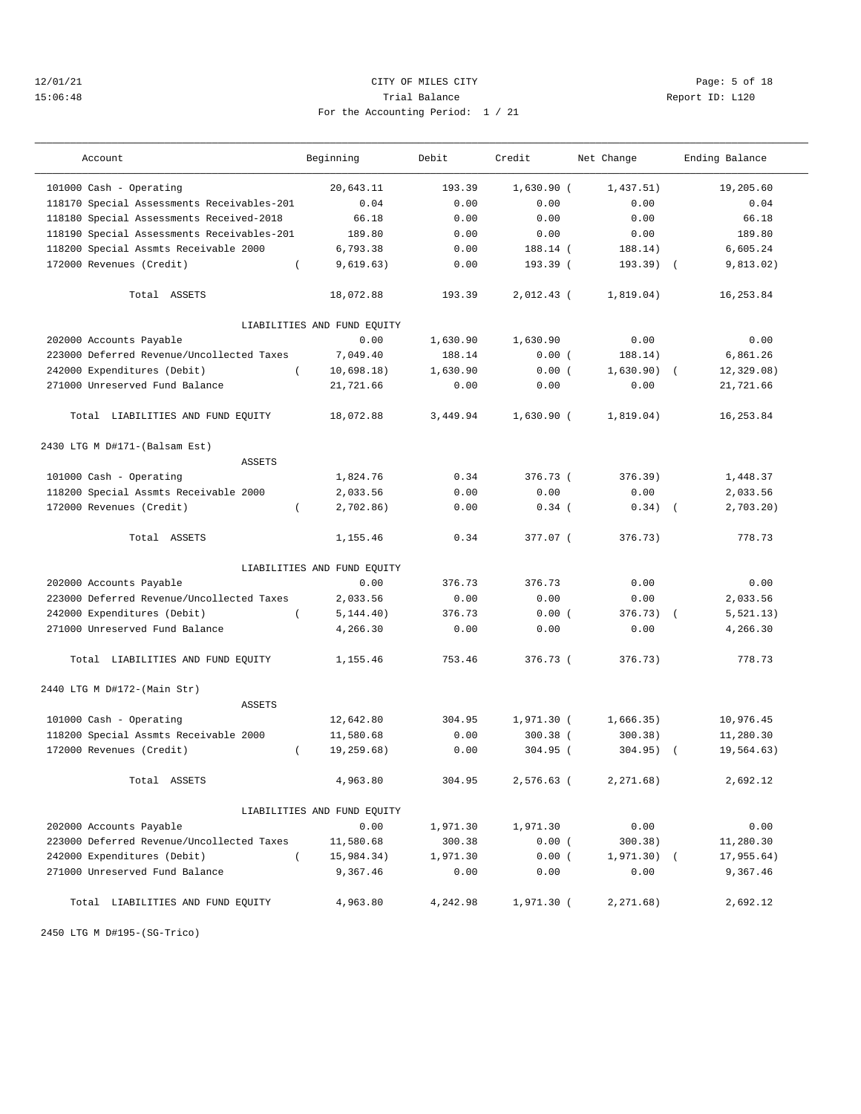## 12/01/21 CITY OF MILES CITY Page: 5 of 18 15:06:48 Trial Balance Report ID: L120 For the Accounting Period: 1 / 21

| Account                                                           | Beginning                   | Debit    | Credit                     | Net Change           | Ending Balance         |
|-------------------------------------------------------------------|-----------------------------|----------|----------------------------|----------------------|------------------------|
| 101000 Cash - Operating                                           | 20,643.11                   | 193.39   | $1,630.90$ (               | 1,437.51)            | 19,205.60              |
| 118170 Special Assessments Receivables-201                        | 0.04                        | 0.00     | 0.00                       | 0.00                 | 0.04                   |
| 118180 Special Assessments Received-2018                          | 66.18                       | 0.00     | 0.00                       | 0.00                 | 66.18                  |
| 118190 Special Assessments Receivables-201                        | 189.80                      | 0.00     | 0.00                       | 0.00                 | 189.80                 |
| 118200 Special Assmts Receivable 2000                             | 6,793.38                    | 0.00     | 188.14 (                   | 188.14)              | 6,605.24               |
| 172000 Revenues (Credit)<br>$\left($                              | 9,619.63)                   | 0.00     | 193.39 (                   | $193.39$ (           | 9,813.02)              |
| Total ASSETS                                                      | 18,072.88                   | 193.39   | $2,012.43$ (               | 1,819.04)            | 16, 253.84             |
|                                                                   | LIABILITIES AND FUND EQUITY |          |                            |                      |                        |
| 202000 Accounts Payable                                           | 0.00                        | 1,630.90 | 1,630.90                   | 0.00                 | 0.00                   |
| 223000 Deferred Revenue/Uncollected Taxes                         | 7,049.40                    | 188.14   | 0.00(                      | 188.14)              | 6,861.26               |
| 242000 Expenditures (Debit)                                       | 10,698.18)                  | 1,630.90 | 0.00(                      | 1,630.90)            | 12, 329.08)            |
| 271000 Unreserved Fund Balance                                    | 21,721.66                   | 0.00     | 0.00                       | 0.00                 | 21,721.66              |
| Total LIABILITIES AND FUND EQUITY                                 | 18,072.88                   | 3,449.94 | $1,630.90$ (               | 1,819.04)            | 16,253.84              |
| 2430 LTG M D#171-(Balsam Est)                                     |                             |          |                            |                      |                        |
| <b>ASSETS</b>                                                     |                             |          |                            |                      |                        |
| 101000 Cash - Operating                                           | 1,824.76                    | 0.34     | $376.73$ (                 | 376.39)              | 1,448.37               |
| 118200 Special Assmts Receivable 2000                             | 2,033.56                    | 0.00     | 0.00                       | 0.00                 | 2,033.56               |
| 172000 Revenues (Credit)<br>$\left($                              | 2,702.86)                   | 0.00     | $0.34$ (                   | 0.34)                | 2.703.20<br>$\sqrt{2}$ |
| Total ASSETS                                                      | 1,155.46                    | 0.34     | 377.07 (                   | 376.73)              | 778.73                 |
|                                                                   | LIABILITIES AND FUND EQUITY |          |                            |                      |                        |
| 202000 Accounts Payable                                           | 0.00                        | 376.73   | 376.73                     | 0.00                 | 0.00                   |
| 223000 Deferred Revenue/Uncollected Taxes                         | 2,033.56                    | 0.00     | 0.00                       | 0.00                 | 2,033.56               |
| 242000 Expenditures (Debit)<br>$\left($                           | 5, 144.40)                  | 376.73   | 0.00(                      | $376.73$ (           | 5, 521.13)             |
| 271000 Unreserved Fund Balance                                    | 4,266.30                    | 0.00     | 0.00                       | 0.00                 | 4,266.30               |
| Total LIABILITIES AND FUND EQUITY                                 | 1,155.46                    | 753.46   | 376.73 (                   | 376.73)              | 778.73                 |
| 2440 LTG M D#172-(Main Str)                                       |                             |          |                            |                      |                        |
| ASSETS                                                            |                             | 304.95   |                            |                      | 10,976.45              |
| 101000 Cash - Operating                                           | 12,642.80<br>11,580.68      | 0.00     | $1,971.30$ (<br>$300.38$ ( | 1,666.35)<br>300.38) | 11,280.30              |
| 118200 Special Assmts Receivable 2000<br>172000 Revenues (Credit) |                             | 0.00     | $304.95$ (                 |                      |                        |
| $\left($                                                          | 19,259.68)                  |          |                            | 304.95)              | 19,564.63)             |
| Total ASSETS                                                      | 4,963.80                    | 304.95   | 2,576.63 (                 | 2, 271.68)           | 2,692.12               |
|                                                                   | LIABILITIES AND FUND EQUITY |          |                            |                      |                        |
| 202000 Accounts Payable                                           | 0.00                        | 1,971.30 | 1,971.30                   | 0.00                 | 0.00                   |
| 223000 Deferred Revenue/Uncollected Taxes                         | 11,580.68                   | 300.38   | 0.00(                      | 300.38)              | 11,280.30              |
| 242000 Expenditures (Debit)<br>$\left($                           | 15,984.34)                  | 1,971.30 | 0.00(                      | $1,971.30)$ (        | 17,955.64)             |
| 271000 Unreserved Fund Balance                                    | 9,367.46                    | 0.00     | 0.00                       | 0.00                 | 9,367.46               |
| Total LIABILITIES AND FUND EQUITY                                 | 4,963.80                    | 4,242.98 | 1,971.30 (                 | 2,271.68)            | 2,692.12               |

2450 LTG M D#195-(SG-Trico)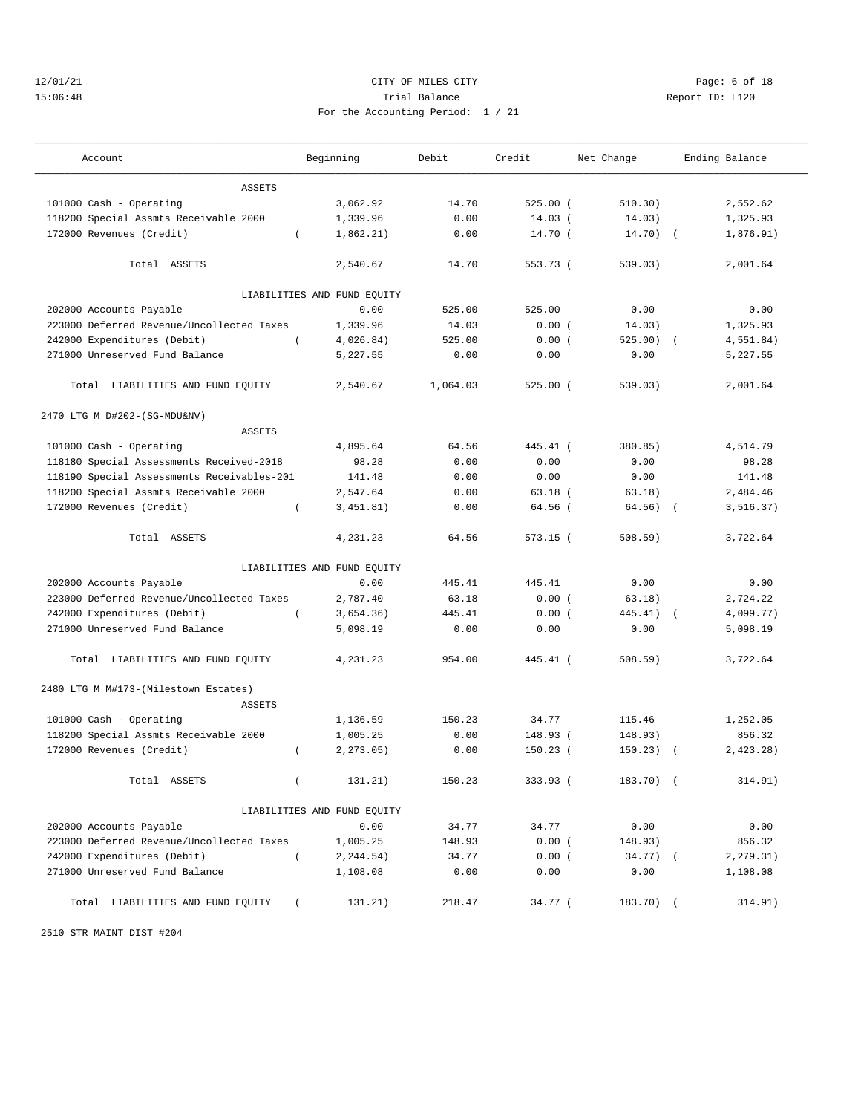## 12/01/21 CITY OF MILES CITY Page: 6 of 18 15:06:48 Trial Balance Report ID: L120 For the Accounting Period: 1 / 21

| Account                                               | Beginning                   | Debit    | Credit      | Net Change   | Ending Balance |
|-------------------------------------------------------|-----------------------------|----------|-------------|--------------|----------------|
| <b>ASSETS</b>                                         |                             |          |             |              |                |
| 101000 Cash - Operating                               | 3,062.92                    | 14.70    | $525.00$ (  | 510.30)      | 2,552.62       |
| 118200 Special Assmts Receivable 2000                 | 1,339.96                    | 0.00     | $14.03$ (   | 14.03)       | 1,325.93       |
| 172000 Revenues (Credit)                              | 1,862.21)<br>$\left($       | 0.00     | $14.70$ $($ | $14.70)$ (   | 1,876.91)      |
| Total ASSETS                                          | 2,540.67                    | 14.70    | 553.73 (    | 539.03)      | 2,001.64       |
|                                                       | LIABILITIES AND FUND EQUITY |          |             |              |                |
| 202000 Accounts Payable                               | 0.00                        | 525.00   | 525.00      | 0.00         | 0.00           |
| 223000 Deferred Revenue/Uncollected Taxes             | 1,339.96                    | 14.03    | 0.00(       | 14.03)       | 1,325.93       |
| 242000 Expenditures (Debit)                           | $\left($<br>4,026.84)       | 525.00   | 0.00(       | $525.00$ (   | 4,551.84)      |
| 271000 Unreserved Fund Balance                        | 5,227.55                    | 0.00     | 0.00        | 0.00         | 5,227.55       |
| Total LIABILITIES AND FUND EQUITY                     | 2,540.67                    | 1,064.03 | $525.00$ (  | 539.03)      | 2,001.64       |
| 2470 LTG M D#202-(SG-MDU&NV)                          |                             |          |             |              |                |
| <b>ASSETS</b>                                         |                             |          |             |              |                |
| 101000 Cash - Operating                               | 4,895.64                    | 64.56    | 445.41 (    | 380.85)      | 4,514.79       |
| 118180 Special Assessments Received-2018              | 98.28                       | 0.00     | 0.00        | 0.00         | 98.28          |
| 118190 Special Assessments Receivables-201            | 141.48                      | 0.00     | 0.00        | 0.00         | 141.48         |
| 118200 Special Assmts Receivable 2000                 | 2,547.64                    | 0.00     | $63.18$ (   | 63.18)       | 2,484.46       |
| 172000 Revenues (Credit)                              | 3,451.81)<br>$\left($       | 0.00     | $64.56$ (   | 64.56)       | 3, 516.37)     |
| Total ASSETS                                          | 4,231.23                    | 64.56    | $573.15$ (  | 508.59)      | 3,722.64       |
|                                                       | LIABILITIES AND FUND EQUITY |          |             |              |                |
| 202000 Accounts Payable                               | 0.00                        | 445.41   | 445.41      | 0.00         | 0.00           |
| 223000 Deferred Revenue/Uncollected Taxes             | 2,787.40                    | 63.18    | 0.00(       | 63.18)       | 2,724.22       |
| 242000 Expenditures (Debit)                           | 3,654.36)<br>$\left($       | 445.41   | 0.00(       | $445.41$ ) ( | 4,099.77)      |
| 271000 Unreserved Fund Balance                        | 5,098.19                    | 0.00     | 0.00        | 0.00         | 5,098.19       |
| Total LIABILITIES AND FUND EQUITY                     | 4,231.23                    | 954.00   | 445.41 (    | 508.59)      | 3,722.64       |
| 2480 LTG M M#173-(Milestown Estates)<br><b>ASSETS</b> |                             |          |             |              |                |
| 101000 Cash - Operating                               | 1,136.59                    | 150.23   | 34.77       | 115.46       | 1,252.05       |
| 118200 Special Assmts Receivable 2000                 | 1,005.25                    | 0.00     | 148.93 (    | 148.93)      | 856.32         |
| 172000 Revenues (Credit)                              | 2.273.05<br>$\left($        | 0.00     | $150.23$ (  | 150.23)      | 2.423.28       |
|                                                       |                             |          |             |              |                |
| Total ASSETS                                          | 131.21)<br>$\left($         | 150.23   | 333.93 (    | 183.70) (    | 314.91)        |
|                                                       | LIABILITIES AND FUND EQUITY |          |             |              |                |
| 202000 Accounts Payable                               | 0.00                        | 34.77    | 34.77       | 0.00         | 0.00           |
| 223000 Deferred Revenue/Uncollected Taxes             | 1,005.25                    | 148.93   | 0.00(       | 148.93)      | 856.32         |
| 242000 Expenditures (Debit)                           | $\left($<br>2, 244.54)      | 34.77    | 0.00(       | $34.77)$ (   | 2,279.31)      |
| 271000 Unreserved Fund Balance                        | 1,108.08                    | 0.00     | 0.00        | 0.00         | 1,108.08       |
| Total LIABILITIES AND FUND EQUITY                     | 131.21)<br>$\left($         | 218.47   | 34.77 (     | 183.70) (    | 314.91)        |

2510 STR MAINT DIST #204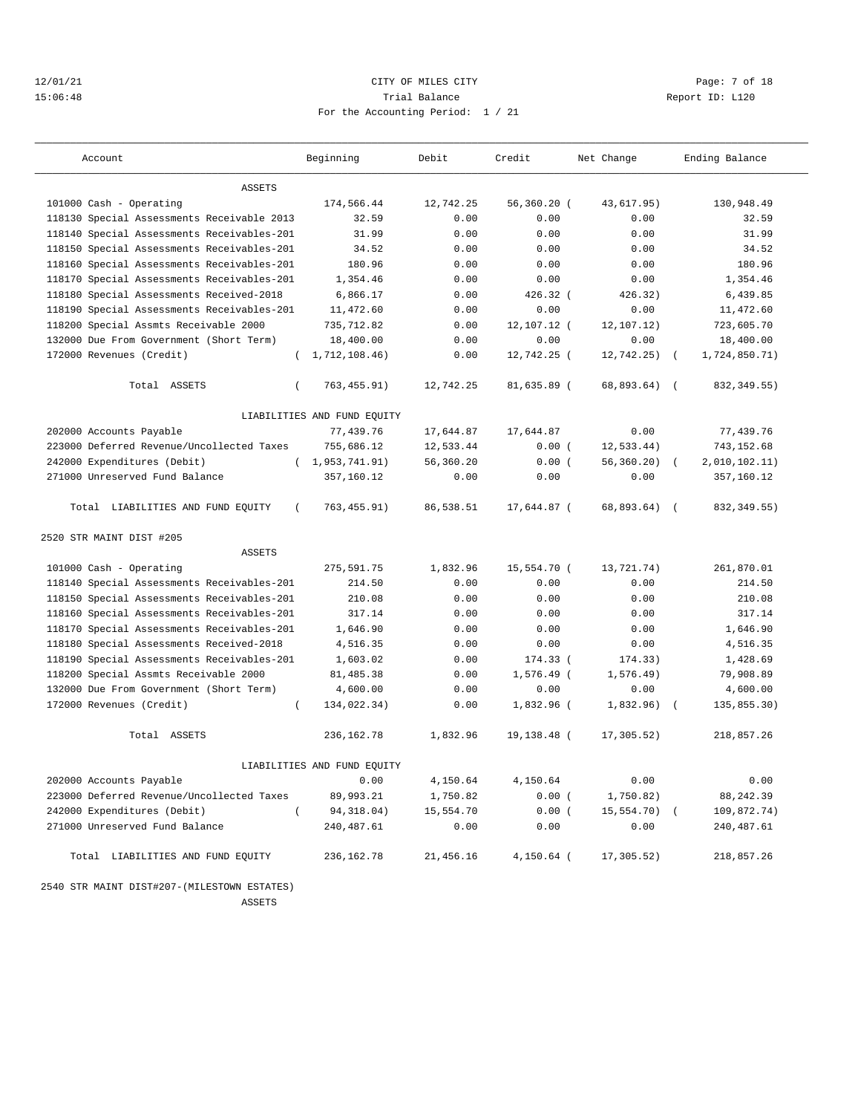## 12/01/21 CITY OF MILES CITY Page: 7 of 18 15:06:48 Trial Balance Report ID: L120 For the Accounting Period: 1 / 21

| Account                                       | Beginning                   | Debit     | Credit        | Net Change    | Ending Balance             |
|-----------------------------------------------|-----------------------------|-----------|---------------|---------------|----------------------------|
| <b>ASSETS</b>                                 |                             |           |               |               |                            |
| 101000 Cash - Operating                       | 174,566.44                  | 12,742.25 | $56,360.20$ ( | 43,617.95)    | 130,948.49                 |
| 118130 Special Assessments Receivable 2013    | 32.59                       | 0.00      | 0.00          | 0.00          | 32.59                      |
| 118140 Special Assessments Receivables-201    | 31.99                       | 0.00      | 0.00          | 0.00          | 31.99                      |
| 118150 Special Assessments Receivables-201    | 34.52                       | 0.00      | 0.00          | 0.00          | 34.52                      |
| 118160 Special Assessments Receivables-201    | 180.96                      | 0.00      | 0.00          | 0.00          | 180.96                     |
| 118170 Special Assessments Receivables-201    | 1,354.46                    | 0.00      | 0.00          | 0.00          | 1,354.46                   |
| 118180 Special Assessments Received-2018      | 6,866.17                    | 0.00      | $426.32$ (    | 426.32)       | 6,439.85                   |
| 118190 Special Assessments Receivables-201    | 11,472.60                   | 0.00      | 0.00          | 0.00          | 11,472.60                  |
| 118200 Special Assmts Receivable 2000         | 735,712.82                  | 0.00      | 12,107.12 (   | 12,107.12)    | 723,605.70                 |
| 132000 Due From Government (Short Term)       | 18,400.00                   | 0.00      | 0.00          | 0.00          | 18,400.00                  |
| 172000 Revenues (Credit)<br>$\left($          | 1,712,108.46)               | 0.00      | 12,742.25 (   | 12,742.25)    | 1,724,850.71)              |
| Total ASSETS<br>$\left($                      | 763, 455.91)                | 12,742.25 | 81,635.89 (   | 68,893.64) (  | 832, 349.55)               |
|                                               | LIABILITIES AND FUND EQUITY |           |               |               |                            |
| 202000 Accounts Payable                       | 77,439.76                   | 17,644.87 | 17,644.87     | 0.00          | 77,439.76                  |
| 223000 Deferred Revenue/Uncollected Taxes     | 755,686.12                  | 12,533.44 | 0.00(         | 12.533.44)    | 743,152.68                 |
| 242000 Expenditures (Debit)                   | (1, 953, 741.91)            | 56,360.20 | 0.00(         | $56,360.20$ ( | 2,010,102.11)              |
| 271000 Unreserved Fund Balance                | 357,160.12                  | 0.00      | 0.00          | 0.00          | 357,160.12                 |
| Total LIABILITIES AND FUND EQUITY<br>$\left($ | 763, 455.91)                | 86,538.51 | 17,644.87 (   | 68,893,64)    | 832, 349.55)<br>$\sqrt{2}$ |
| 2520 STR MAINT DIST #205                      |                             |           |               |               |                            |
| <b>ASSETS</b>                                 |                             |           |               |               |                            |
| 101000 Cash - Operating                       | 275,591.75                  | 1,832.96  | 15,554.70 (   | 13,721.74)    | 261,870.01                 |
| 118140 Special Assessments Receivables-201    | 214.50                      | 0.00      | 0.00          | 0.00          | 214.50                     |
| 118150 Special Assessments Receivables-201    | 210.08                      | 0.00      | 0.00          | 0.00          | 210.08                     |
| 118160 Special Assessments Receivables-201    | 317.14                      | 0.00      | 0.00          | 0.00          | 317.14                     |
| 118170 Special Assessments Receivables-201    | 1,646.90                    | 0.00      | 0.00          | 0.00          | 1,646.90                   |
| 118180 Special Assessments Received-2018      | 4,516.35                    | 0.00      | 0.00          | 0.00          | 4,516.35                   |
| 118190 Special Assessments Receivables-201    | 1,603.02                    | 0.00      | 174.33 (      | 174.33)       | 1,428.69                   |
| 118200 Special Assmts Receivable 2000         | 81, 485.38                  | 0.00      | 1,576.49 (    | 1,576.49)     | 79,908.89                  |
| 132000 Due From Government (Short Term)       | 4,600.00                    | 0.00      | 0.00          | 0.00          | 4,600.00                   |
| 172000 Revenues (Credit)<br>$\left($          | 134,022.34)                 | 0.00      | $1.832.96$ (  | 1,832,96      | 135,855.30)                |
| Total ASSETS                                  | 236,162.78                  | 1,832.96  | 19,138.48 (   | 17,305.52)    | 218,857.26                 |
|                                               | LIABILITIES AND FUND EQUITY |           |               |               |                            |
| 202000 Accounts Payable                       | 0.00                        | 4,150.64  | 4,150.64      | 0.00          | 0.00                       |
| 223000 Deferred Revenue/Uncollected Taxes     | 89,993.21                   | 1,750.82  | 0.00(         | 1,750.82)     | 88,242.39                  |
| 242000 Expenditures (Debit)<br>$\left($       | 94,318.04)                  | 15,554.70 | 0.00(         | 15,554.70) (  | 109,872.74)                |
| 271000 Unreserved Fund Balance                | 240, 487.61                 | 0.00      | 0.00          | 0.00          | 240,487.61                 |
| Total LIABILITIES AND FUND EQUITY             | 236,162.78                  | 21,456.16 | $4,150.64$ (  | 17,305.52)    | 218,857.26                 |

 2540 STR MAINT DIST#207-(MILESTOWN ESTATES) ASSETS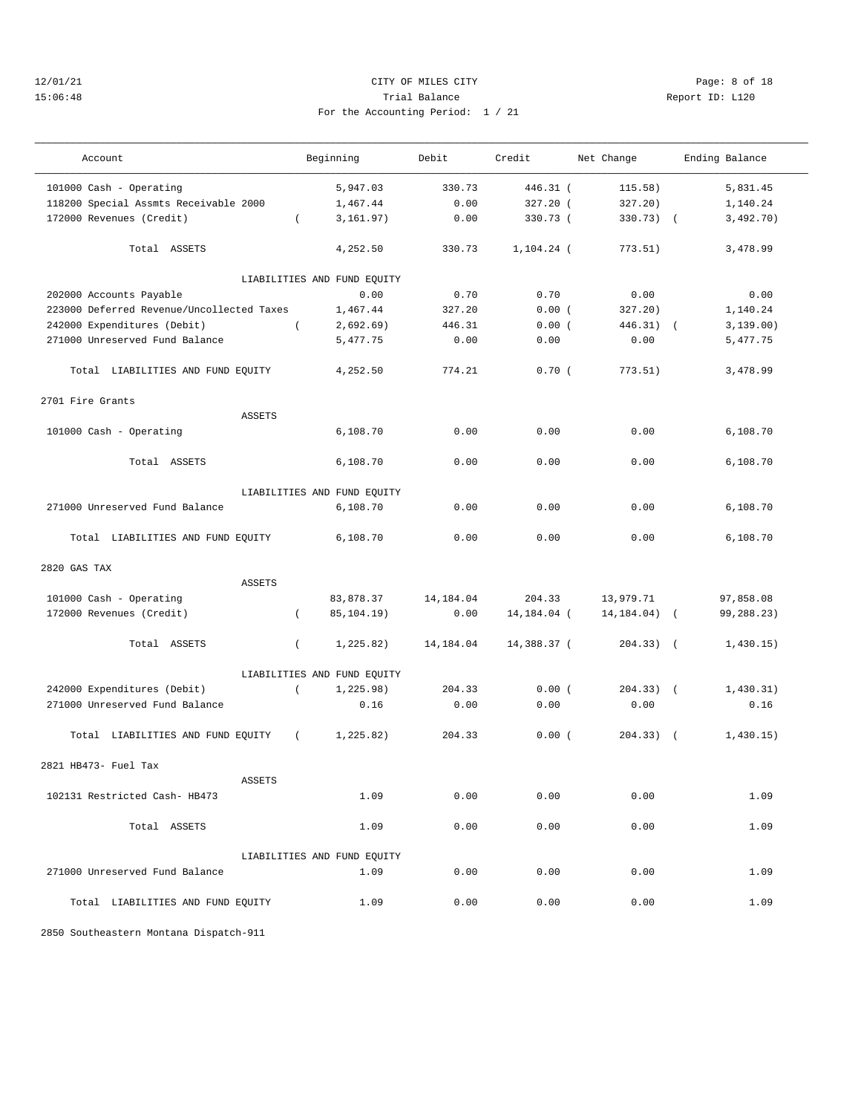## 12/01/21 CITY OF MILES CITY Page: 8 of 18 15:06:48 Trial Balance Report ID: L120 For the Accounting Period: 1 / 21

———————————————————————————————————————————————————————————————————————————————————————————————————————————————————————————————————

| 21 |  |  |  |
|----|--|--|--|

| Account                                   |          | Beginning                   | Debit      | Credit        | Net Change      | Ending Balance |  |
|-------------------------------------------|----------|-----------------------------|------------|---------------|-----------------|----------------|--|
| 101000 Cash - Operating                   |          | 5,947.03                    | 330.73     | 446.31 (      | 115.58)         | 5,831.45       |  |
| 118200 Special Assmts Receivable 2000     |          | 1,467.44                    | 0.00       | 327.20 (      | 327.20)         | 1,140.24       |  |
| 172000 Revenues (Credit)                  | $\left($ | 3,161.97)                   | 0.00       | 330.73 (      | 330.73) (       | 3,492.70)      |  |
| Total ASSETS                              |          | 4,252.50                    | 330.73     | $1.104.24$ (  | 773.51)         | 3,478.99       |  |
|                                           |          | LIABILITIES AND FUND EQUITY |            |               |                 |                |  |
| 202000 Accounts Payable                   |          | 0.00                        | 0.70       | 0.70          | 0.00            | 0.00           |  |
| 223000 Deferred Revenue/Uncollected Taxes |          | 1,467.44                    | 327.20     | 0.00(         | 327.20)         | 1,140.24       |  |
| 242000 Expenditures (Debit)               | $\left($ | 2,692.69)                   | 446.31     | 0.00(         | $446.31)$ (     | 3,139.00)      |  |
| 271000 Unreserved Fund Balance            |          | 5,477.75                    | 0.00       | 0.00          | 0.00            | 5,477.75       |  |
| Total LIABILITIES AND FUND EQUITY         |          | 4,252.50                    | 774.21     | 0.70(         | 773.51)         | 3,478.99       |  |
| 2701 Fire Grants                          |          |                             |            |               |                 |                |  |
| <b>ASSETS</b>                             |          |                             |            |               |                 |                |  |
| 101000 Cash - Operating                   |          | 6,108.70                    | 0.00       | 0.00          | 0.00            | 6,108.70       |  |
| Total ASSETS                              |          | 6,108.70                    | 0.00       | 0.00          | 0.00            | 6,108.70       |  |
|                                           |          | LIABILITIES AND FUND EQUITY |            |               |                 |                |  |
| 271000 Unreserved Fund Balance            |          | 6,108.70                    | 0.00       | 0.00          | 0.00            | 6,108.70       |  |
| Total LIABILITIES AND FUND EQUITY         |          | 6,108.70                    | 0.00       | 0.00          | 0.00            | 6,108.70       |  |
| 2820 GAS TAX                              |          |                             |            |               |                 |                |  |
| <b>ASSETS</b>                             |          |                             |            |               |                 |                |  |
| 101000 Cash - Operating                   |          | 83,878.37                   | 14, 184.04 | 204.33        | 13,979.71       | 97,858.08      |  |
| 172000 Revenues (Credit)                  | $\left($ | 85,104.19)                  | 0.00       | 14, 184. 04 ( | $14, 184.04)$ ( | 99,288.23)     |  |
| Total ASSETS                              | $\left($ | 1, 225.82)                  | 14,184.04  | 14,388.37 (   | $204.33)$ (     | 1,430.15)      |  |
|                                           |          | LIABILITIES AND FUND EQUITY |            |               |                 |                |  |
| 242000 Expenditures (Debit)               | $\left($ | 1, 225.98)                  | 204.33     | 0.00(         | $204.33)$ (     | 1,430.31)      |  |
| 271000 Unreserved Fund Balance            |          | 0.16                        | 0.00       | 0.00          | 0.00            | 0.16           |  |
| Total LIABILITIES AND FUND EQUITY         | $\left($ | 1, 225.82)                  | 204.33     | 0.00(         | $204.33)$ (     | 1,430.15)      |  |
| 2821 HB473- Fuel Tax                      |          |                             |            |               |                 |                |  |
| <b>ASSETS</b>                             |          |                             |            |               |                 |                |  |
| 102131 Restricted Cash- HB473             |          | 1.09                        | 0.00       | 0.00          | 0.00            | 1.09           |  |
| Total ASSETS                              |          | 1.09                        | 0.00       | 0.00          | 0.00            | 1.09           |  |
|                                           |          | LIABILITIES AND FUND EQUITY |            |               |                 |                |  |
| 271000 Unreserved Fund Balance            |          | 1.09                        | 0.00       | 0.00          | 0.00            | 1.09           |  |
| Total LIABILITIES AND FUND EQUITY         |          | 1.09                        | 0.00       | 0.00          | 0.00            | 1.09           |  |

2850 Southeastern Montana Dispatch-911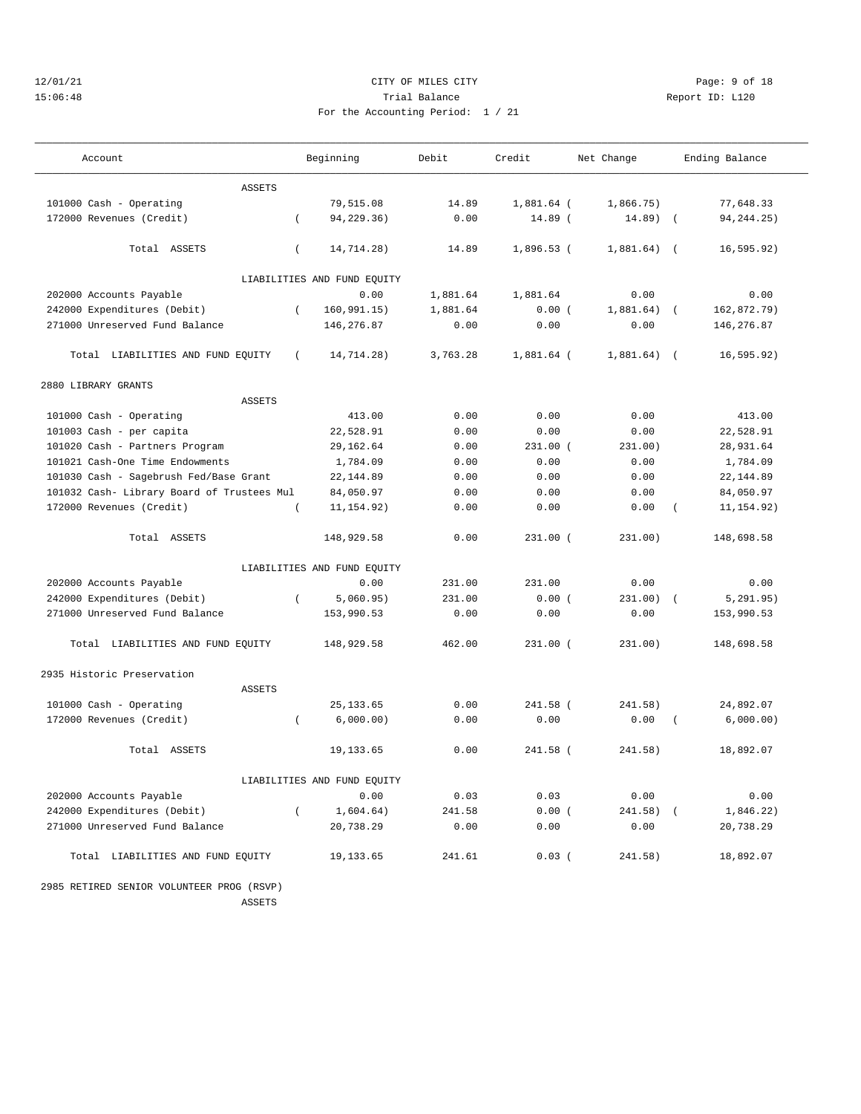# 12/01/21 CITY OF MILES CITY Page: 9 of 18 15:06:48 Trial Balance Report ID: L120 For the Accounting Period: 1 / 21

| Account                                    |          | Beginning                   | Debit    | Credit       | Net Change   |            | Ending Balance |
|--------------------------------------------|----------|-----------------------------|----------|--------------|--------------|------------|----------------|
| <b>ASSETS</b>                              |          |                             |          |              |              |            |                |
| 101000 Cash - Operating                    |          | 79,515.08                   | 14.89    | 1,881.64 (   | 1,866.75)    |            | 77,648.33      |
| 172000 Revenues (Credit)                   | $\left($ | 94,229.36)                  | 0.00     | 14.89 (      | $14.89$ (    |            | 94, 244. 25)   |
|                                            |          |                             |          |              |              |            |                |
| Total ASSETS                               | $\left($ | 14,714.28)                  | 14.89    | $1,896.53$ ( | 1,881.64)    | $\sqrt{2}$ | 16, 595.92)    |
|                                            |          | LIABILITIES AND FUND EQUITY |          |              |              |            |                |
| 202000 Accounts Payable                    |          | 0.00                        | 1,881.64 | 1,881.64     | 0.00         |            | 0.00           |
| 242000 Expenditures (Debit)                | $\left($ | 160, 991.15)                | 1,881.64 | 0.00(        | $1,881.64$ ( |            | 162,872.79)    |
| 271000 Unreserved Fund Balance             |          | 146,276.87                  | 0.00     | 0.00         | 0.00         |            | 146,276.87     |
|                                            |          |                             |          |              |              |            |                |
| Total LIABILITIES AND FUND EQUITY          | $\left($ | 14,714.28)                  | 3,763.28 | 1,881.64 (   | $1,881.64$ ( |            | 16, 595.92)    |
| 2880 LIBRARY GRANTS                        |          |                             |          |              |              |            |                |
| <b>ASSETS</b>                              |          |                             |          |              |              |            |                |
| 101000 Cash - Operating                    |          | 413.00                      | 0.00     | 0.00         | 0.00         |            | 413.00         |
| 101003 Cash - per capita                   |          | 22,528.91                   | 0.00     | 0.00         | 0.00         |            | 22,528.91      |
| 101020 Cash - Partners Program             |          | 29, 162.64                  | 0.00     | $231.00$ (   | 231.00)      |            | 28,931.64      |
| 101021 Cash-One Time Endowments            |          | 1,784.09                    | 0.00     | 0.00         | 0.00         |            | 1,784.09       |
| 101030 Cash - Sagebrush Fed/Base Grant     |          | 22, 144.89                  | 0.00     | 0.00         | 0.00         |            | 22, 144.89     |
| 101032 Cash- Library Board of Trustees Mul |          | 84,050.97                   | 0.00     | 0.00         | 0.00         |            | 84,050.97      |
| 172000 Revenues (Credit)                   | $\left($ | 11, 154.92)                 | 0.00     | 0.00         | 0.00         |            | 11, 154.92)    |
| Total ASSETS                               |          | 148,929.58                  | 0.00     | $231.00$ (   | 231.00)      |            | 148,698.58     |
|                                            |          | LIABILITIES AND FUND EQUITY |          |              |              |            |                |
| 202000 Accounts Payable                    |          | 0.00                        | 231.00   | 231.00       | 0.00         |            | 0.00           |
| 242000 Expenditures (Debit)                | $\left($ | 5,060.95)                   | 231.00   | 0.00(        | 231.00)      |            | 5, 291.95)     |
| 271000 Unreserved Fund Balance             |          | 153,990.53                  | 0.00     | 0.00         | 0.00         |            | 153,990.53     |
| Total LIABILITIES AND FUND EQUITY          |          | 148,929.58                  | 462.00   | $231.00$ (   | 231.00)      |            | 148,698.58     |
| 2935 Historic Preservation                 |          |                             |          |              |              |            |                |
| <b>ASSETS</b>                              |          |                             |          |              |              |            |                |
| 101000 Cash - Operating                    |          | 25, 133.65                  | 0.00     | 241.58 (     | 241.58)      |            | 24,892.07      |
| 172000 Revenues (Credit)                   | $\left($ | 6,000.00)                   | 0.00     | 0.00         | 0.00         | $\left($   | 6,000.00)      |
| Total ASSETS                               |          | 19, 133.65                  | 0.00     | 241.58 (     | 241.58)      |            | 18,892.07      |
|                                            |          | LIABILITIES AND FUND EQUITY |          |              |              |            |                |
| 202000 Accounts Payable                    |          | 0.00                        | 0.03     | 0.03         | 0.00         |            | 0.00           |
| 242000 Expenditures (Debit)                | $\left($ | 1,604.64)                   | 241.58   | 0.00(        | $241.58$ ) ( |            | 1,846.22)      |
| 271000 Unreserved Fund Balance             |          | 20,738.29                   | 0.00     | 0.00         | 0.00         |            | 20,738.29      |
| Total LIABILITIES AND FUND EQUITY          |          | 19,133.65                   | 241.61   | $0.03$ (     | 241.58)      |            | 18,892.07      |

 2985 RETIRED SENIOR VOLUNTEER PROG (RSVP) ASSETS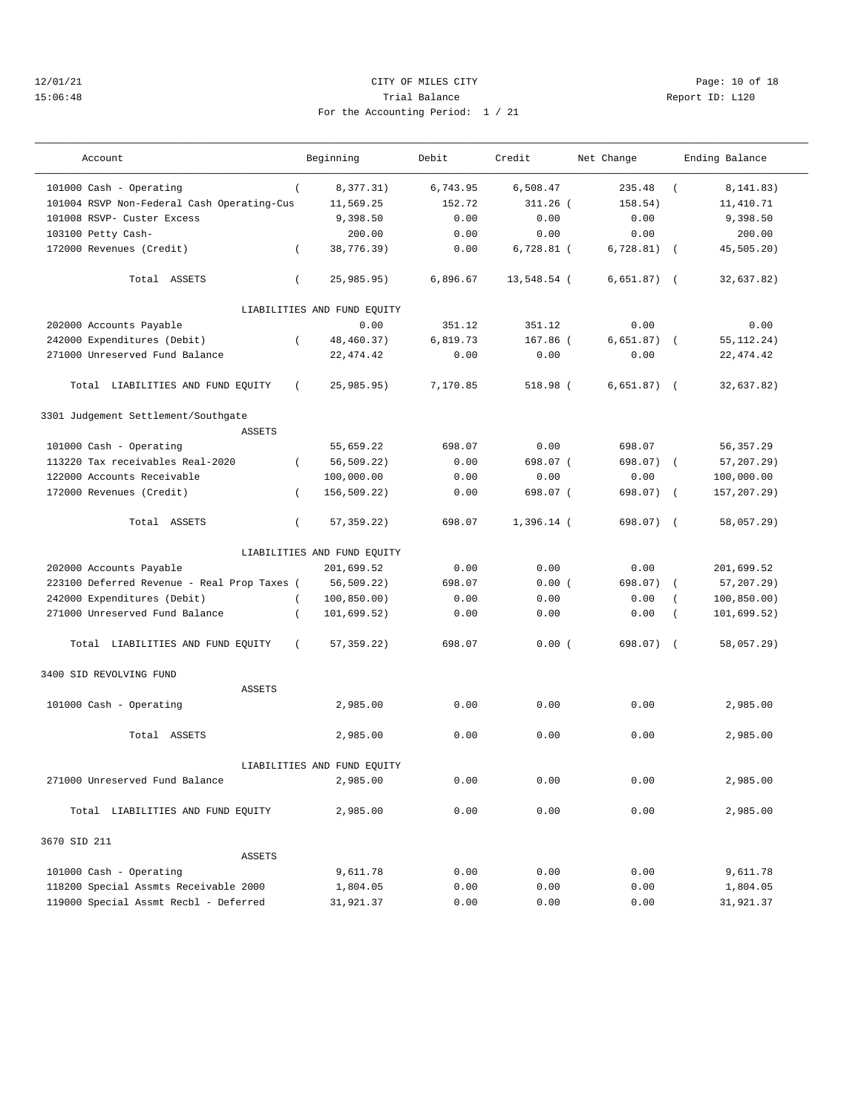## 12/01/21 Page: 10 of 18 15:06:48 Trial Balance Report ID: L120 For the Accounting Period: 1 / 21

| Account                                     |          | Beginning                   | Debit    | Credit       | Net Change   |            | Ending Balance |
|---------------------------------------------|----------|-----------------------------|----------|--------------|--------------|------------|----------------|
| 101000 Cash - Operating                     | $\left($ | 8,377.31)                   | 6,743.95 | 6,508.47     | 235.48       | $\left($   | 8, 141.83)     |
| 101004 RSVP Non-Federal Cash Operating-Cus  |          | 11,569.25                   | 152.72   | $311.26$ (   | 158.54)      |            | 11,410.71      |
| 101008 RSVP- Custer Excess                  |          | 9,398.50                    | 0.00     | 0.00         | 0.00         |            | 9,398.50       |
| 103100 Petty Cash-                          |          | 200.00                      | 0.00     | 0.00         | 0.00         |            | 200.00         |
| 172000 Revenues (Credit)                    | $\left($ | 38,776.39)                  | 0.00     | $6,728.81$ ( | 6,728.81)    | $\sqrt{ }$ | 45,505.20)     |
| Total ASSETS                                | $\left($ | 25,985.95)                  | 6,896.67 | 13,548.54 (  | 6.651.87)    | $\sqrt{2}$ | 32,637.82)     |
|                                             |          | LIABILITIES AND FUND EQUITY |          |              |              |            |                |
| 202000 Accounts Payable                     |          | 0.00                        | 351.12   | 351.12       | 0.00         |            | 0.00           |
| 242000 Expenditures (Debit)                 | $\left($ | 48,460.37)                  | 6,819.73 | $167.86$ (   | $6,651.87$ ( |            | 55, 112. 24)   |
| 271000 Unreserved Fund Balance              |          | 22, 474.42                  | 0.00     | 0.00         | 0.00         |            | 22, 474.42     |
| Total LIABILITIES AND FUND EQUITY           | $\left($ | 25,985.95)                  | 7,170.85 | 518.98 (     | $6,651.87$ ( |            | 32,637.82)     |
| 3301 Judgement Settlement/Southgate         |          |                             |          |              |              |            |                |
| <b>ASSETS</b>                               |          |                             |          |              |              |            |                |
| 101000 Cash - Operating                     |          | 55,659.22                   | 698.07   | 0.00         | 698.07       |            | 56,357.29      |
| 113220 Tax receivables Real-2020            | $\left($ | 56,509.22)                  | 0.00     | 698.07 (     | 698.07)      | $\sqrt{2}$ | 57, 207, 29)   |
| 122000 Accounts Receivable                  |          | 100,000.00                  | 0.00     | 0.00         | 0.00         |            | 100,000.00     |
| 172000 Revenues (Credit)                    | $\left($ | 156,509.22)                 | 0.00     | 698.07 (     | 698.07)      | $\sqrt{ }$ | 157,207.29)    |
| Total ASSETS                                | $\left($ | 57, 359. 22)                | 698.07   | $1,396.14$ ( | 698.07) (    |            | 58,057.29)     |
|                                             |          | LIABILITIES AND FUND EQUITY |          |              |              |            |                |
| 202000 Accounts Payable                     |          | 201,699.52                  | 0.00     | 0.00         | 0.00         |            | 201,699.52     |
| 223100 Deferred Revenue - Real Prop Taxes ( |          | 56,509.22)                  | 698.07   | 0.00(        | 698.07)      | $\left($   | $57, 207.29$ ) |
| 242000 Expenditures (Debit)                 |          | 100, 850.00)                | 0.00     | 0.00         | 0.00         |            | 100, 850.00)   |
| 271000 Unreserved Fund Balance              | $\left($ | 101,699.52)                 | 0.00     | 0.00         | 0.00         |            | 101,699.52)    |
| Total LIABILITIES AND FUND EQUITY           | $\left($ | 57, 359.22)                 | 698.07   | 0.00(        | 698.07)      | $\sqrt{2}$ | 58,057.29)     |
| 3400 SID REVOLVING FUND                     |          |                             |          |              |              |            |                |
| <b>ASSETS</b>                               |          |                             |          |              |              |            |                |
| 101000 Cash - Operating                     |          | 2,985.00                    | 0.00     | 0.00         | 0.00         |            | 2,985.00       |
| Total ASSETS                                |          | 2,985.00                    | 0.00     | 0.00         | 0.00         |            | 2,985.00       |
|                                             |          | LIABILITIES AND FUND EQUITY |          |              |              |            |                |
| 271000 Unreserved Fund Balance              |          | 2,985.00                    | 0.00     | 0.00         | 0.00         |            | 2,985.00       |
| Total LIABILITIES AND FUND EQUITY           |          | 2,985.00                    | 0.00     | 0.00         | 0.00         |            | 2,985.00       |
|                                             |          |                             |          |              |              |            |                |
| 3670 SID 211<br>ASSETS                      |          |                             |          |              |              |            |                |
| 101000 Cash - Operating                     |          | 9,611.78                    | 0.00     | 0.00         | 0.00         |            | 9,611.78       |
| 118200 Special Assmts Receivable 2000       |          | 1,804.05                    | 0.00     | 0.00         | 0.00         |            | 1,804.05       |
| 119000 Special Assmt Recbl - Deferred       |          | 31,921.37                   | 0.00     | 0.00         | 0.00         |            | 31,921.37      |
|                                             |          |                             |          |              |              |            |                |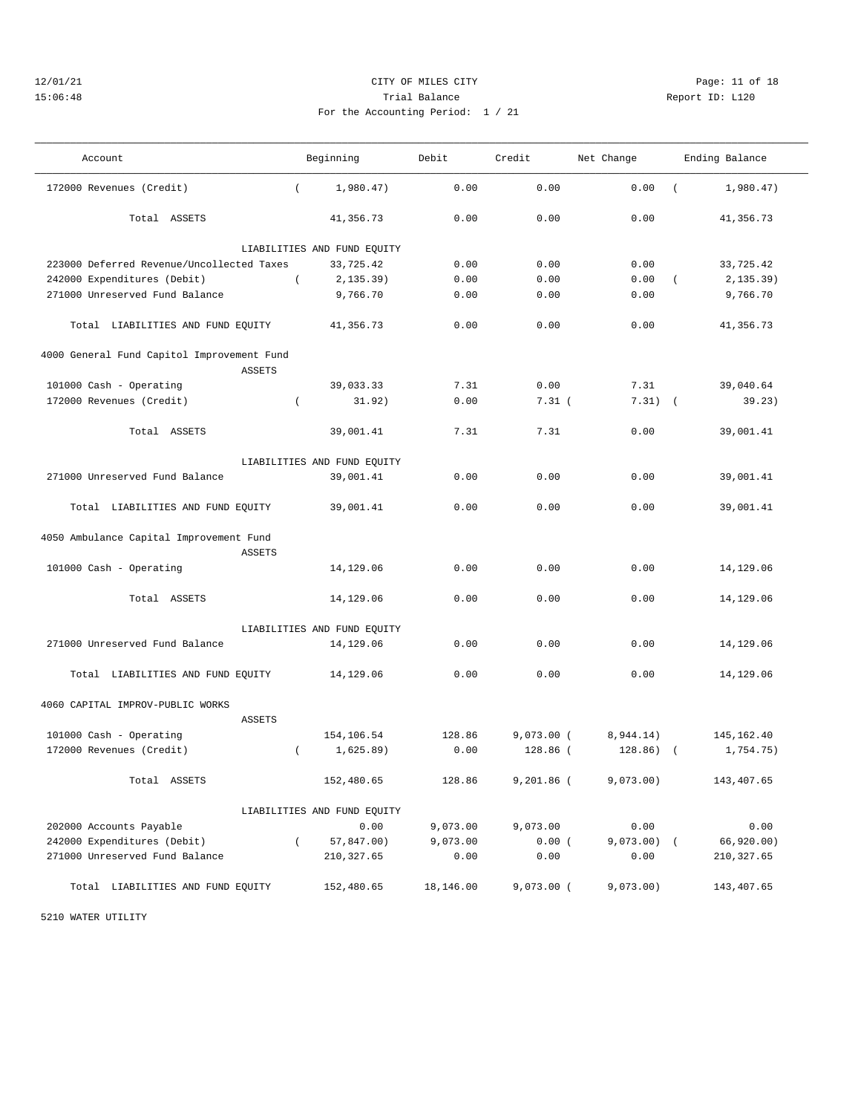## 12/01/21 Page: 11 of 18 15:06:48 Trial Balance Report ID: L120 For the Accounting Period: 1 / 21

| Account                                                  |          | Beginning                   | Debit     | Credit       | Net Change    |          | Ending Balance |
|----------------------------------------------------------|----------|-----------------------------|-----------|--------------|---------------|----------|----------------|
| 172000 Revenues (Credit)                                 | $\left($ | 1,980.47)                   | 0.00      | 0.00         | 0.00          | $\left($ | 1,980.47)      |
| Total ASSETS                                             |          | 41,356.73                   | 0.00      | 0.00         | 0.00          |          | 41,356.73      |
|                                                          |          | LIABILITIES AND FUND EQUITY |           |              |               |          |                |
| 223000 Deferred Revenue/Uncollected Taxes                |          | 33,725.42                   | 0.00      | 0.00         | 0.00          |          | 33,725.42      |
| 242000 Expenditures (Debit)                              | $\left($ | 2, 135.39)                  | 0.00      | 0.00         | 0.00          | $\left($ | 2, 135.39)     |
| 271000 Unreserved Fund Balance                           |          | 9,766.70                    | 0.00      | 0.00         | 0.00          |          | 9,766.70       |
| Total LIABILITIES AND FUND EQUITY                        |          | 41,356.73                   | 0.00      | 0.00         | 0.00          |          | 41,356.73      |
| 4000 General Fund Capitol Improvement Fund               |          |                             |           |              |               |          |                |
| <b>ASSETS</b>                                            |          |                             |           |              |               |          |                |
| 101000 Cash - Operating                                  |          | 39,033.33                   | 7.31      | 0.00         | 7.31          |          | 39,040.64      |
| 172000 Revenues (Credit)                                 | $\left($ | 31.92)                      | 0.00      | 7.31(        | $7.31)$ (     |          | 39.23)         |
| Total ASSETS                                             |          | 39,001.41                   | 7.31      | 7.31         | 0.00          |          | 39,001.41      |
|                                                          |          | LIABILITIES AND FUND EQUITY |           |              |               |          |                |
| 271000 Unreserved Fund Balance                           |          | 39,001.41                   | 0.00      | 0.00         | 0.00          |          | 39,001.41      |
| Total LIABILITIES AND FUND EQUITY                        |          | 39,001.41                   | 0.00      | 0.00         | 0.00          |          | 39,001.41      |
| 4050 Ambulance Capital Improvement Fund<br><b>ASSETS</b> |          |                             |           |              |               |          |                |
| 101000 Cash - Operating                                  |          | 14,129.06                   | 0.00      | 0.00         | 0.00          |          | 14,129.06      |
| Total ASSETS                                             |          | 14,129.06                   | 0.00      | 0.00         | 0.00          |          | 14,129.06      |
|                                                          |          | LIABILITIES AND FUND EQUITY |           |              |               |          |                |
| 271000 Unreserved Fund Balance                           |          | 14,129.06                   | 0.00      | 0.00         | 0.00          |          | 14,129.06      |
| Total LIABILITIES AND FUND EQUITY                        |          | 14,129.06                   | 0.00      | 0.00         | 0.00          |          | 14,129.06      |
| 4060 CAPITAL IMPROV-PUBLIC WORKS                         |          |                             |           |              |               |          |                |
| <b>ASSETS</b>                                            |          |                             |           |              |               |          |                |
| 101000 Cash - Operating                                  |          | 154,106.54                  | 128.86    | $9,073.00$ ( | 8,944.14)     |          | 145,162.40     |
| 172000 Revenues (Credit)                                 | $\left($ | 1,625.89)                   | 0.00      | 128.86 (     | $128.86$ ) (  |          | 1,754.75)      |
| Total ASSETS                                             |          | 152,480.65                  | 128.86    | $9,201.86$ ( | 9,073.00)     |          | 143,407.65     |
|                                                          |          | LIABILITIES AND FUND EQUITY |           |              |               |          |                |
| 202000 Accounts Payable                                  |          | 0.00                        | 9,073.00  | 9,073.00     | 0.00          |          | 0.00           |
| 242000 Expenditures (Debit)                              | $\left($ | 57,847.00)                  | 9,073.00  | 0.00(        | $9,073.00)$ ( |          | 66,920.00)     |
| 271000 Unreserved Fund Balance                           |          | 210, 327.65                 | 0.00      | 0.00         | 0.00          |          | 210, 327.65    |
| Total LIABILITIES AND FUND EQUITY                        |          | 152,480.65                  | 18,146.00 | $9,073.00$ ( | 9,073.00)     |          | 143,407.65     |

5210 WATER UTILITY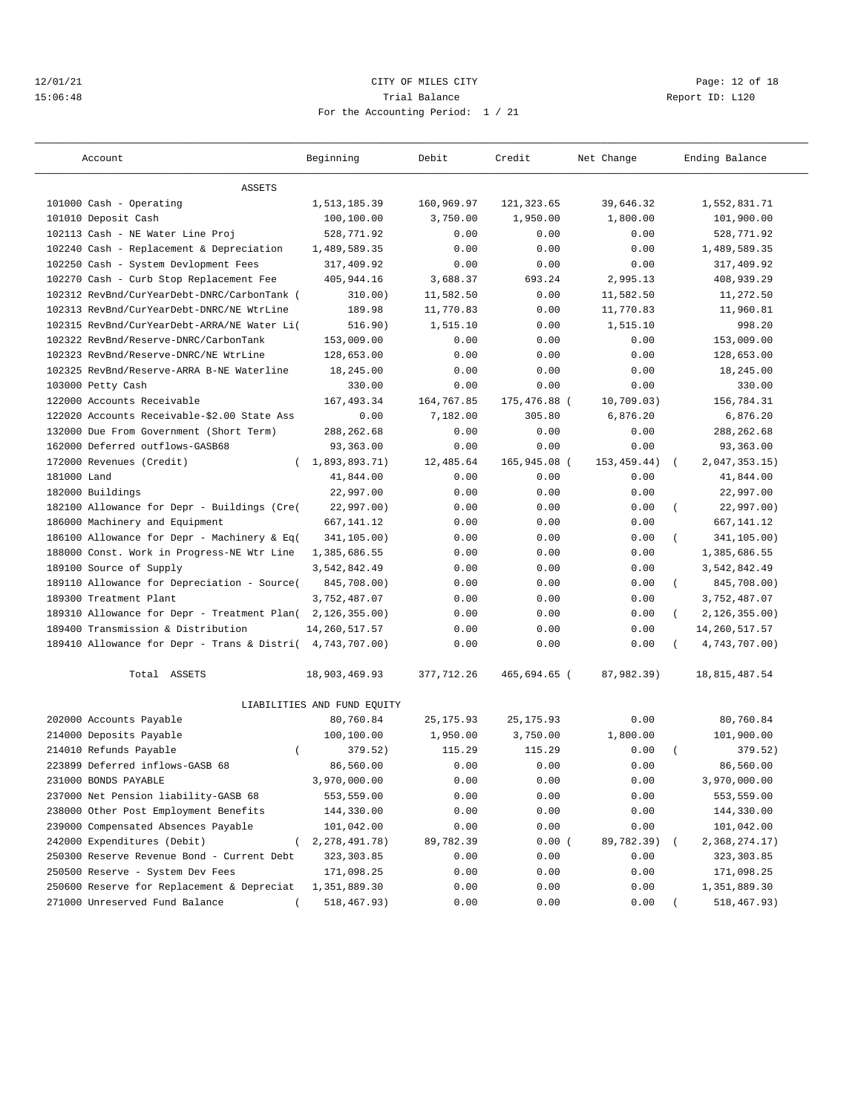## 12/01/21 **CITY OF MILES CITY CITY CITY PAGE:** 12 of 18 15:06:48 Trial Balance Report ID: L120 For the Accounting Period: 1 / 21

| Account                                                   | Beginning                   | Debit      | Credit                 | Net Change   | Ending Balance              |
|-----------------------------------------------------------|-----------------------------|------------|------------------------|--------------|-----------------------------|
| <b>ASSETS</b>                                             |                             |            |                        |              |                             |
| 101000 Cash - Operating                                   | 1,513,185.39                | 160,969.97 | 121,323.65             | 39,646.32    | 1,552,831.71                |
| 101010 Deposit Cash                                       | 100,100.00                  | 3,750.00   | 1,950.00               | 1,800.00     | 101,900.00                  |
| 102113 Cash - NE Water Line Proj                          | 528,771.92                  | 0.00       | 0.00                   | 0.00         | 528,771.92                  |
| 102240 Cash - Replacement & Depreciation                  | 1,489,589.35                | 0.00       | 0.00                   | 0.00         | 1,489,589.35                |
| 102250 Cash - System Devlopment Fees                      | 317,409.92                  | 0.00       | 0.00                   | 0.00         | 317,409.92                  |
| 102270 Cash - Curb Stop Replacement Fee                   | 405,944.16                  | 3,688.37   | 693.24                 | 2,995.13     | 408,939.29                  |
| 102312 RevBnd/CurYearDebt-DNRC/CarbonTank (               | 310.00)                     | 11,582.50  | 0.00                   | 11,582.50    | 11,272.50                   |
| 102313 RevBnd/CurYearDebt-DNRC/NE WtrLine                 | 189.98                      | 11,770.83  | 0.00                   | 11,770.83    | 11,960.81                   |
| 102315 RevBnd/CurYearDebt-ARRA/NE Water Li(               | 516.90)                     | 1,515.10   | 0.00                   | 1,515.10     | 998.20                      |
| 102322 RevBnd/Reserve-DNRC/CarbonTank                     | 153,009.00                  | 0.00       | 0.00                   | 0.00         | 153,009.00                  |
| 102323 RevBnd/Reserve-DNRC/NE WtrLine                     | 128,653.00                  | 0.00       | 0.00                   | 0.00         | 128,653.00                  |
| 102325 RevBnd/Reserve-ARRA B-NE Waterline                 | 18,245.00                   | 0.00       | 0.00                   | 0.00         | 18,245.00                   |
| 103000 Petty Cash                                         | 330.00                      | 0.00       | 0.00                   | 0.00         | 330.00                      |
|                                                           |                             |            |                        |              |                             |
| 122000 Accounts Receivable                                | 167, 493.34                 | 164,767.85 | 175,476.88 (<br>305.80 | 10,709.03)   | 156,784.31                  |
| 122020 Accounts Receivable-\$2.00 State Ass               | 0.00                        | 7,182.00   |                        | 6,876.20     | 6,876.20                    |
| 132000 Due From Government (Short Term)                   | 288, 262.68                 | 0.00       | 0.00                   | 0.00         | 288, 262.68                 |
| 162000 Deferred outflows-GASB68                           | 93,363.00                   | 0.00       | 0.00                   | 0.00         | 93,363.00                   |
| 172000 Revenues (Credit)<br>$\left($                      | 1,893,893.71)               | 12,485.64  | 165,945.08 (           | 153, 459.44) | 2,047,353.15)<br>$\sqrt{2}$ |
| 181000 Land                                               | 41,844.00                   | 0.00       | 0.00                   | 0.00         | 41,844.00                   |
| 182000 Buildings                                          | 22,997.00                   | 0.00       | 0.00                   | 0.00         | 22,997.00                   |
| 182100 Allowance for Depr - Buildings (Cre(               | 22,997.00)                  | 0.00       | 0.00                   | 0.00         | 22,997.00)<br>(             |
| 186000 Machinery and Equipment                            | 667, 141.12                 | 0.00       | 0.00                   | 0.00         | 667,141.12                  |
| 186100 Allowance for Depr - Machinery & Eq(               | 341,105.00)                 | 0.00       | 0.00                   | 0.00         | 341,105.00)<br>$\left($     |
| 188000 Const. Work in Progress-NE Wtr Line                | 1,385,686.55                | 0.00       | 0.00                   | 0.00         | 1,385,686.55                |
| 189100 Source of Supply                                   | 3,542,842.49                | 0.00       | 0.00                   | 0.00         | 3,542,842.49                |
| 189110 Allowance for Depreciation - Source(               | 845,708.00)                 | 0.00       | 0.00                   | 0.00         | 845,708.00)<br>$\left($     |
| 189300 Treatment Plant                                    | 3,752,487.07                | 0.00       | 0.00                   | 0.00         | 3,752,487.07                |
| 189310 Allowance for Depr - Treatment Plan(               | 2, 126, 355.00              | 0.00       | 0.00                   | 0.00         | 2, 126, 355.00<br>$\left($  |
| 189400 Transmission & Distribution                        | 14, 260, 517.57             | 0.00       | 0.00                   | 0.00         | 14, 260, 517.57             |
| 189410 Allowance for Depr - Trans & Distri( 4,743,707.00) |                             | 0.00       | 0.00                   | 0.00         | 4,743,707.00)               |
| Total ASSETS                                              | 18,903,469.93               | 377,712.26 | 465,694.65 (           | 87,982.39)   | 18,815,487.54               |
|                                                           | LIABILITIES AND FUND EQUITY |            |                        |              |                             |
| 202000 Accounts Payable                                   | 80,760.84                   | 25, 175.93 | 25, 175.93             | 0.00         | 80,760.84                   |
| 214000 Deposits Payable                                   | 100,100.00                  | 1,950.00   | 3,750.00               | 1,800.00     | 101,900.00                  |
| 214010 Refunds Payable<br>$\left($                        | 379.52)                     | 115.29     | 115.29                 | 0.00         | 379.52)                     |
| 223899 Deferred inflows-GASB 68                           | 86,560.00                   | 0.00       | 0.00                   | 0.00         | 86,560.00                   |
| 231000 BONDS PAYABLE                                      | 3,970,000.00                | 0.00       | 0.00                   | 0.00         | 3,970,000.00                |
| 237000 Net Pension liability-GASB 68                      | 553,559.00                  | 0.00       | 0.00                   | 0.00         | 553,559.00                  |
| 238000 Other Post Employment Benefits                     | 144,330.00                  | 0.00       | 0.00                   | 0.00         | 144,330.00                  |
| 239000 Compensated Absences Payable                       | 101,042.00                  | 0.00       | 0.00                   | 0.00         | 101,042.00                  |
| 242000 Expenditures (Debit)                               | 2, 278, 491. 78)            | 89,782.39  | 0.00(                  | 89,782.39)   | 2,368,274.17)               |
| 250300 Reserve Revenue Bond - Current Debt                | 323, 303.85                 | 0.00       | 0.00                   | 0.00         | 323,303.85                  |
| 250500 Reserve - System Dev Fees                          | 171,098.25                  | 0.00       | 0.00                   | 0.00         | 171,098.25                  |
| 250600 Reserve for Replacement & Depreciat                | 1,351,889.30                | 0.00       | 0.00                   | 0.00         | 1,351,889.30                |
| 271000 Unreserved Fund Balance                            | 518,467.93)                 | 0.00       | 0.00                   | 0.00         | 518,467.93)                 |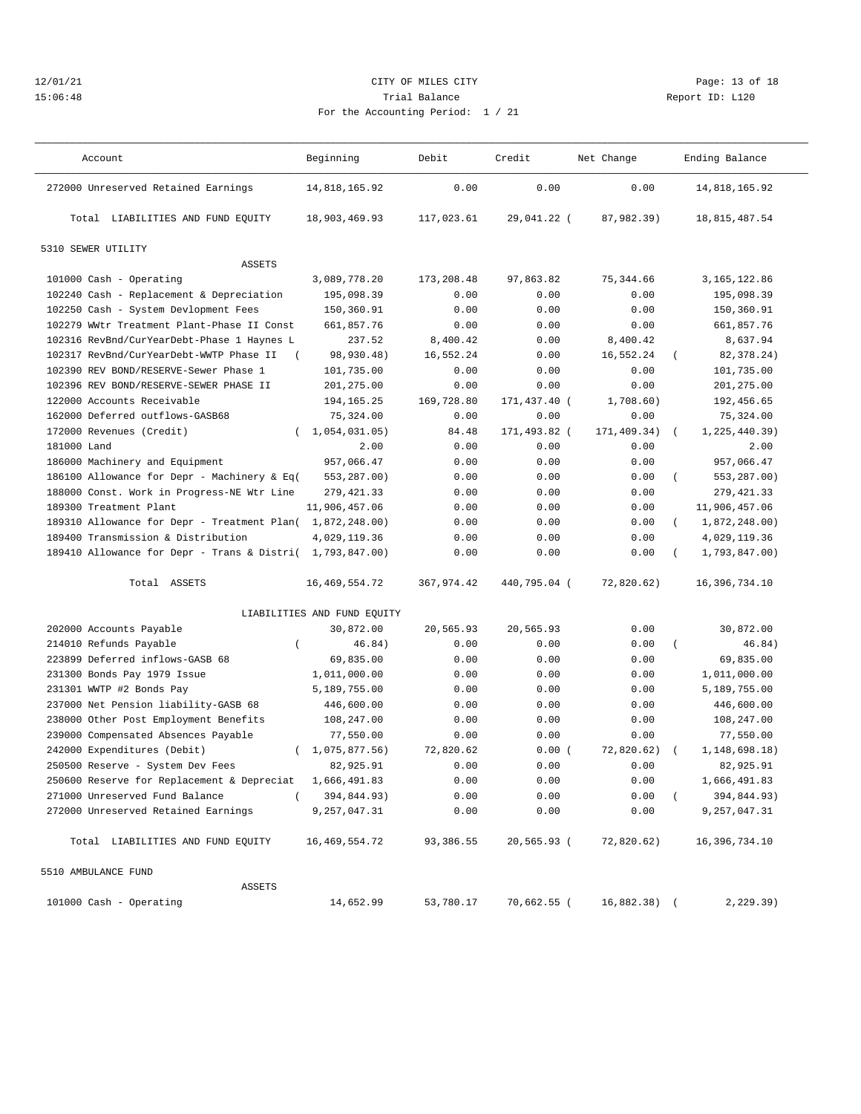## 12/01/21 Page: 13 of 18 15:06:48 Trial Balance Report ID: L120 For the Accounting Period: 1 / 21

|  | A: 1 / 21 |
|--|-----------|

——————————————————————————————————————————————————————————————————————————————————————————————————————————————————————————————————— Account and Deginning Debit Credit Net Change Ending Balance ——————————————————————————————————————————————————————————————————————————————————————————————————————————————————————————————————— 272000 Unreserved Retained Earnings 14,818,165.92 0.00 0.00 0.00 14,818,165.92 Total LIABILITIES AND FUND EQUITY 18,903,469.93 117,023.61 29,041.22 ( 87,982.39) 18,815,487.54

5310 SEWER UTILITY

| <b>ASSETS</b>                                             |                             |            |              |             |            |                 |
|-----------------------------------------------------------|-----------------------------|------------|--------------|-------------|------------|-----------------|
| 101000 Cash - Operating                                   | 3,089,778.20                | 173,208.48 | 97,863.82    | 75, 344.66  |            | 3,165,122.86    |
| 102240 Cash - Replacement & Depreciation                  | 195,098.39                  | 0.00       | 0.00         | 0.00        |            | 195,098.39      |
| 102250 Cash - System Devlopment Fees                      | 150,360.91                  | 0.00       | 0.00         | 0.00        |            | 150,360.91      |
| 102279 WWtr Treatment Plant-Phase II Const                | 661,857.76                  | 0.00       | 0.00         | 0.00        |            | 661,857.76      |
| 102316 RevBnd/CurYearDebt-Phase 1 Haynes L                | 237.52                      | 8,400.42   | 0.00         | 8,400.42    |            | 8,637.94        |
| 102317 RevBnd/CurYearDebt-WWTP Phase II<br>$\left($       | 98,930.48)                  | 16,552.24  | 0.00         | 16,552.24   | $\left($   | 82, 378. 24)    |
| 102390 REV BOND/RESERVE-Sewer Phase 1                     | 101,735.00                  | 0.00       | 0.00         | 0.00        |            | 101,735.00      |
| 102396 REV BOND/RESERVE-SEWER PHASE II                    | 201,275.00                  | 0.00       | 0.00         | 0.00        |            | 201,275.00      |
| 122000 Accounts Receivable                                | 194,165.25                  | 169,728.80 | 171,437.40 ( | 1,708.60)   |            | 192,456.65      |
| 162000 Deferred outflows-GASB68                           | 75,324.00                   | 0.00       | 0.00         | 0.00        |            | 75,324.00       |
| 172000 Revenues (Credit)                                  | (1, 054, 031.05)            | 84.48      | 171,493.82 ( | 171,409.34) | $\sqrt{2}$ | 1, 225, 440.39) |
| 181000 Land                                               | 2.00                        | 0.00       | 0.00         | 0.00        |            | 2.00            |
| 186000 Machinery and Equipment                            | 957,066.47                  | 0.00       | 0.00         | 0.00        |            | 957,066.47      |
| 186100 Allowance for Depr - Machinery & Eq(               | 553,287.00)                 | 0.00       | 0.00         | 0.00        | $\left($   | 553,287.00)     |
| 188000 Const. Work in Progress-NE Wtr Line                | 279, 421.33                 | 0.00       | 0.00         | 0.00        |            | 279, 421.33     |
| 189300 Treatment Plant                                    | 11,906,457.06               | 0.00       | 0.00         | 0.00        |            | 11,906,457.06   |
| 189310 Allowance for Depr - Treatment Plan( 1,872,248.00) |                             | 0.00       | 0.00         | 0.00        | $\left($   | 1,872,248.00)   |
| 189400 Transmission & Distribution                        | 4,029,119.36                | 0.00       | 0.00         | 0.00        |            | 4,029,119.36    |
| 189410 Allowance for Depr - Trans & Distri( 1,793,847.00) |                             | 0.00       | 0.00         | 0.00        | $\left($   | 1,793,847.00)   |
| Total ASSETS                                              | 16, 469, 554. 72            | 367,974.42 | 440,795.04 ( | 72,820.62)  |            | 16,396,734.10   |
|                                                           | LIABILITIES AND FUND EQUITY |            |              |             |            |                 |
| 202000 Accounts Payable                                   | 30,872.00                   | 20,565.93  | 20,565.93    | 0.00        |            | 30,872.00       |
| 214010 Refunds Payable<br>$\left($                        | 46.84)                      | 0.00       | 0.00         | 0.00        | $\left($   | 46.84)          |
| 223899 Deferred inflows-GASB 68                           | 69,835.00                   | 0.00       | 0.00         | 0.00        |            | 69,835.00       |
| 231300 Bonds Pay 1979 Issue                               | 1,011,000.00                | 0.00       | 0.00         | 0.00        |            | 1,011,000.00    |
| 231301 WWTP #2 Bonds Pay                                  | 5,189,755.00                | 0.00       | 0.00         | 0.00        |            | 5,189,755.00    |
| 237000 Net Pension liability-GASB 68                      | 446,600.00                  | 0.00       | 0.00         | 0.00        |            | 446,600.00      |
| 238000 Other Post Employment Benefits                     | 108,247.00                  | 0.00       | 0.00         | 0.00        |            | 108,247.00      |
| 239000 Compensated Absences Payable                       | 77,550.00                   | 0.00       | 0.00         | 0.00        |            | 77,550.00       |
| 242000 Expenditures (Debit)                               | (1,075,877.56)              | 72,820.62  | 0.00(        | 72,820.62)  | $\left($   | 1, 148, 698.18) |
| 250500 Reserve - System Dev Fees                          | 82,925.91                   | 0.00       | 0.00         | 0.00        |            | 82,925.91       |
| 250600 Reserve for Replacement & Depreciat                | 1,666,491.83                | 0.00       | 0.00         | 0.00        |            | 1,666,491.83    |

 272000 Unreserved Retained Earnings 9,257,047.31 0.00 0.00 0.00 9,257,047.31 Total LIABILITIES AND FUND EQUITY 16,469,554.72 93,386.55 20,565.93 ( 72,820.62) 16,396,734.10 5510 AMBULANCE FUND ASSETS 101000 Cash - Operating 14,652.99 53,780.17 70,662.55 ( 16,882.38) ( 2,229.39)

271000 Unreserved Fund Balance ( 394,844.93) 0.00 0.00 0.00 ( 394,844.93)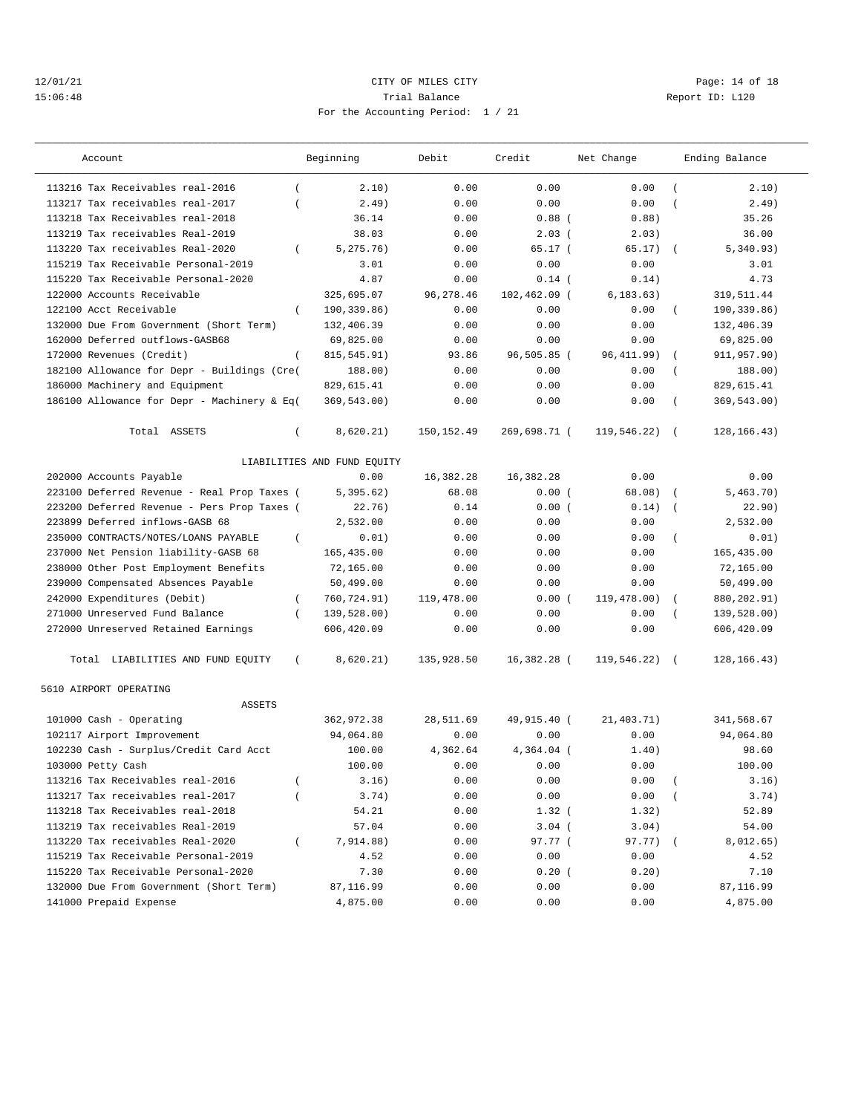## 12/01/21 Page: 14 of 18 15:06:48 Trial Balance Report ID: L120 For the Accounting Period: 1 / 21

| Account                                            | Beginning                   | Debit       | Credit       | Net Change  |                  | Ending Balance |
|----------------------------------------------------|-----------------------------|-------------|--------------|-------------|------------------|----------------|
| 113216 Tax Receivables real-2016<br>$\left($       | 2.10)                       | 0.00        | 0.00         | 0.00        | $\left($         | 2.10)          |
| 113217 Tax receivables real-2017<br>$\overline{ }$ | 2.49)                       | 0.00        | 0.00         | 0.00        |                  | 2.49)          |
| 113218 Tax Receivables real-2018                   | 36.14                       | 0.00        | $0.88$ (     | 0.88)       |                  | 35.26          |
| 113219 Tax receivables Real-2019                   | 38.03                       | 0.00        | 2.03(        | 2.03)       |                  | 36.00          |
| 113220 Tax receivables Real-2020<br>$\left($       | 5, 275.76)                  | 0.00        | 65.17(       | 65.17)      | $\left($         | 5,340.93)      |
| 115219 Tax Receivable Personal-2019                | 3.01                        | 0.00        | 0.00         | 0.00        |                  | 3.01           |
| 115220 Tax Receivable Personal-2020                | 4.87                        | 0.00        | $0.14$ (     | 0.14)       |                  | 4.73           |
| 122000 Accounts Receivable                         | 325,695.07                  | 96, 278.46  | 102,462.09 ( | 6, 183.63)  |                  | 319,511.44     |
| 122100 Acct Receivable<br>$\left($                 | 190,339.86)                 | 0.00        | 0.00         | 0.00        | $\left($         | 190,339.86)    |
| 132000 Due From Government (Short Term)            | 132,406.39                  | 0.00        | 0.00         | 0.00        |                  | 132,406.39     |
| 162000 Deferred outflows-GASB68                    | 69,825.00                   | 0.00        | 0.00         | 0.00        |                  | 69,825.00      |
| 172000 Revenues (Credit)<br>$\left($               | 815, 545.91)                | 93.86       | 96,505.85 (  | 96, 411.99) |                  | 911,957.90)    |
| 182100 Allowance for Depr - Buildings (Cre(        | 188.00)                     | 0.00        | 0.00         | 0.00        |                  | 188.00)        |
| 186000 Machinery and Equipment                     | 829,615.41                  | 0.00        | 0.00         | 0.00        |                  | 829,615.41     |
| 186100 Allowance for Depr - Machinery & Eq(        | 369,543.00)                 | 0.00        | 0.00         | 0.00        |                  | 369,543.00)    |
| Total ASSETS<br>$\left($                           | 8,620.21)                   | 150, 152.49 | 269,698.71 ( | 119,546.22) |                  | 128, 166. 43)  |
|                                                    | LIABILITIES AND FUND EQUITY |             |              |             |                  |                |
| 202000 Accounts Payable                            | 0.00                        | 16,382.28   | 16,382.28    | 0.00        |                  | 0.00           |
| 223100 Deferred Revenue - Real Prop Taxes (        | 5,395.62)                   | 68.08       | 0.00(        | 68.08)      | $\sqrt{ }$       | 5,463.70)      |
| 223200 Deferred Revenue - Pers Prop Taxes (        | 22.76)                      | 0.14        | 0.00(        | 0.14)       | $\overline{ }$   | 22.90)         |
| 223899 Deferred inflows-GASB 68                    | 2,532.00                    | 0.00        | 0.00         | 0.00        |                  | 2.532.00       |
| 235000 CONTRACTS/NOTES/LOANS PAYABLE<br>$\left($   | 0.01)                       | 0.00        | 0.00         | 0.00        | $\left($         | 0.01)          |
| 237000 Net Pension liability-GASB 68               | 165,435.00                  | 0.00        | 0.00         | 0.00        |                  | 165,435.00     |
| 238000 Other Post Employment Benefits              | 72,165.00                   | 0.00        | 0.00         | 0.00        |                  | 72,165.00      |
| 239000 Compensated Absences Payable                | 50,499.00                   | 0.00        | 0.00         | 0.00        |                  | 50,499.00      |
| 242000 Expenditures (Debit)<br>$\overline{(\ }$    | 760,724.91)                 | 119,478.00  | 0.00(        | 119,478.00) |                  | 880,202.91)    |
| 271000 Unreserved Fund Balance<br>$\left($         | 139,528.00)                 | 0.00        | 0.00         | 0.00        |                  | 139,528.00)    |
| 272000 Unreserved Retained Earnings                | 606,420.09                  | 0.00        | 0.00         | 0.00        |                  | 606,420.09     |
| Total LIABILITIES AND FUND EQUITY<br>$\left($      | 8,620.21)                   | 135,928.50  | 16,382.28 (  | 119,546.22) |                  | 128,166.43)    |
| 5610 AIRPORT OPERATING<br><b>ASSETS</b>            |                             |             |              |             |                  |                |
| 101000 Cash - Operating                            | 362,972.38                  | 28,511.69   | 49,915.40 (  | 21,403.71)  |                  | 341,568.67     |
| 102117 Airport Improvement                         | 94,064.80                   | 0.00        | 0.00         | 0.00        |                  | 94,064.80      |
| 102230 Cash - Surplus/Credit Card Acct             | 100.00                      | 4,362.64    | $4.364.04$ ( | 1.40)       |                  | 98.60          |
| 103000 Petty Cash                                  | 100.00                      | 0.00        | 0.00         | 0.00        |                  | 100.00         |
| 113216 Tax Receivables real-2016                   | 3.16)                       | 0.00        | 0.00         | 0.00        | $\overline{(\ }$ | 3.16)          |
| 113217 Tax receivables real-2017                   |                             |             |              |             |                  |                |
| 113218 Tax Receivables real-2018                   | 3.74)                       | 0.00        | 0.00         | 0.00        |                  | 3.74)          |
|                                                    | 54.21                       | 0.00        | $1.32$ (     | 1.32)       |                  | 52.89          |
| 113219 Tax receivables Real-2019                   | 57.04                       | 0.00        | $3.04$ (     | 3.04)       |                  | 54.00          |
| 113220 Tax receivables Real-2020<br>$\left($       | 7,914.88)                   | 0.00        | 97.77 (      | 97.77) (    |                  | 8,012.65)      |
| 115219 Tax Receivable Personal-2019                | 4.52                        | 0.00        | 0.00         | 0.00        |                  | 4.52           |
| 115220 Tax Receivable Personal-2020                | 7.30                        | 0.00        | 0.20(        | 0.20)       |                  | 7.10           |
| 132000 Due From Government (Short Term)            | 87,116.99                   | 0.00        | 0.00         | 0.00        |                  | 87,116.99      |
| 141000 Prepaid Expense                             | 4,875.00                    | 0.00        | 0.00         | 0.00        |                  | 4,875.00       |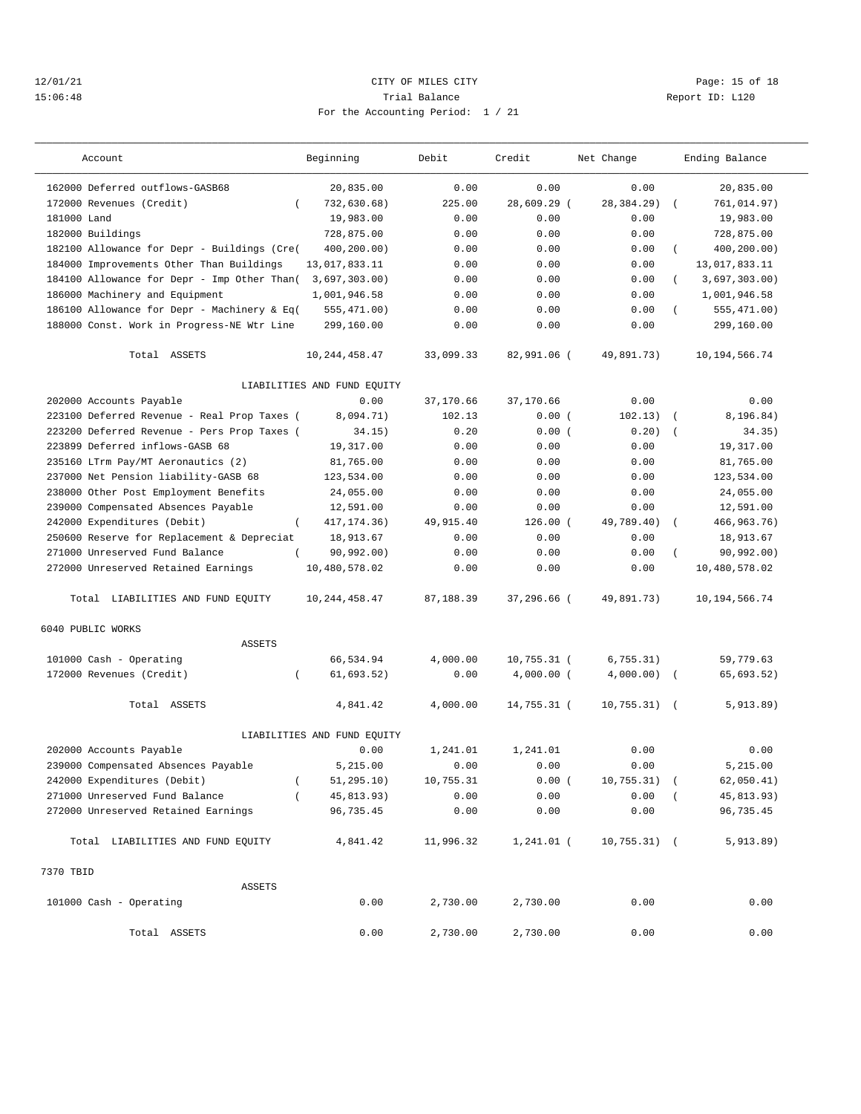## 12/01/21 Page: 15 of 18 15:06:48 Trial Balance Report ID: L120 For the Accounting Period: 1 / 21

| Account                                     | Beginning                   | Debit     | Credit        | Net Change     |            | Ending Balance   |
|---------------------------------------------|-----------------------------|-----------|---------------|----------------|------------|------------------|
| 162000 Deferred outflows-GASB68             | 20,835.00                   | 0.00      | 0.00          | 0.00           |            | 20,835.00        |
| 172000 Revenues (Credit)<br>$\left($        | 732,630.68)                 | 225.00    | 28,609.29 (   | 28,384.29)     |            | 761,014.97)      |
| 181000 Land                                 | 19,983.00                   | 0.00      | 0.00          | 0.00           |            | 19,983.00        |
| 182000 Buildings                            | 728,875.00                  | 0.00      | 0.00          | 0.00           |            | 728,875.00       |
| 182100 Allowance for Depr - Buildings (Cre( | 400,200.00)                 | 0.00      | 0.00          | 0.00           | $\left($   | 400,200.00)      |
| 184000 Improvements Other Than Buildings    | 13,017,833.11               | 0.00      | 0.00          | 0.00           |            | 13,017,833.11    |
| 184100 Allowance for Depr - Imp Other Than( | 3,697,303.00)               | 0.00      | 0.00          | 0.00           | $\left($   | 3,697,303.00)    |
| 186000 Machinery and Equipment              | 1,001,946.58                | 0.00      | 0.00          | 0.00           |            | 1,001,946.58     |
| 186100 Allowance for Depr - Machinery & Eq( | 555,471.00)                 | 0.00      | 0.00          | 0.00           | $\left($   | 555, 471.00)     |
| 188000 Const. Work in Progress-NE Wtr Line  | 299,160.00                  | 0.00      | 0.00          | 0.00           |            | 299,160.00       |
| Total ASSETS                                | 10, 244, 458.47             | 33,099.33 | 82,991.06 (   | 49,891.73)     |            | 10, 194, 566.74  |
|                                             | LIABILITIES AND FUND EQUITY |           |               |                |            |                  |
| 202000 Accounts Payable                     | 0.00                        | 37,170.66 | 37,170.66     | 0.00           |            | 0.00             |
| 223100 Deferred Revenue - Real Prop Taxes ( | 8,094.71)                   | 102.13    | 0.00(         | 102.13)        | $\sqrt{2}$ | 8,196.84)        |
| 223200 Deferred Revenue - Pers Prop Taxes ( | 34.15)                      | 0.20      | 0.00(         | 0.20)          |            | 34.35)           |
| 223899 Deferred inflows-GASB 68             | 19,317.00                   | 0.00      | 0.00          | 0.00           |            | 19, 317, 00      |
| 235160 LTrm Pay/MT Aeronautics (2)          | 81,765.00                   | 0.00      | 0.00          | 0.00           |            | 81,765.00        |
| 237000 Net Pension liability-GASB 68        | 123,534.00                  | 0.00      | 0.00          | 0.00           |            | 123,534.00       |
| 238000 Other Post Employment Benefits       | 24,055.00                   | 0.00      | 0.00          | 0.00           |            | 24,055.00        |
| 239000 Compensated Absences Payable         | 12,591.00                   | 0.00      | 0.00          | 0.00           |            | 12,591.00        |
| 242000 Expenditures (Debit)                 | 417, 174. 36)               | 49,915.40 | $126.00$ (    | 49,789.40)     |            | 466, 963. 76)    |
| 250600 Reserve for Replacement & Depreciat  | 18,913.67                   | 0.00      | 0.00          | 0.00           |            | 18,913.67        |
| 271000 Unreserved Fund Balance              | 90, 992.00)                 | 0.00      | 0.00          | 0.00           |            | 90, 992.00)      |
| 272000 Unreserved Retained Earnings         | 10,480,578.02               | 0.00      | 0.00          | 0.00           |            | 10,480,578.02    |
| Total LIABILITIES AND FUND EQUITY           | 10, 244, 458.47             | 87,188.39 | 37,296.66 (   | 49,891.73)     |            | 10, 194, 566. 74 |
| 6040 PUBLIC WORKS                           |                             |           |               |                |            |                  |
| <b>ASSETS</b>                               |                             |           |               |                |            |                  |
| 101000 Cash - Operating                     | 66,534.94                   | 4,000.00  | $10,755.31$ ( | 6,755.31)      |            | 59,779.63        |
| 172000 Revenues (Credit)                    | 61,693.52)                  | 0.00      | $4,000.00$ (  | 4,000.00)      | $\left($   | 65,693.52)       |
| Total ASSETS                                | 4,841.42                    | 4,000.00  | 14,755.31 (   | 10, 755.31)    | $\sqrt{2}$ | 5,913.89)        |
|                                             | LIABILITIES AND FUND EQUITY |           |               |                |            |                  |
| 202000 Accounts Payable                     | 0.00                        | 1,241.01  | 1,241.01      | 0.00           |            | 0.00             |
| 239000 Compensated Absences Payable         | 5,215.00                    | 0.00      | 0.00          | 0.00           |            | 5,215.00         |
| 242000 Expenditures (Debit)<br>$\left($     | 51, 295.10)                 | 10,755.31 | 0.00(         | $10, 755.31$ ( |            | 62,050.41)       |
| 271000 Unreserved Fund Balance              | 45,813.93)                  | 0.00      | 0.00          | 0.00           |            | 45,813.93)       |
| 272000 Unreserved Retained Earnings         | 96,735.45                   | 0.00      | 0.00          | 0.00           |            | 96,735.45        |
| Total LIABILITIES AND FUND EQUITY           | 4,841.42                    | 11,996.32 | 1,241.01 (    | $10,755.31)$ ( |            | 5,913.89)        |
| 7370 TBID                                   |                             |           |               |                |            |                  |
| ASSETS                                      |                             |           |               |                |            |                  |
| 101000 Cash - Operating                     | 0.00                        | 2,730.00  | 2,730.00      | 0.00           |            | 0.00             |
| Total ASSETS                                | 0.00                        | 2,730.00  | 2,730.00      | 0.00           |            | 0.00             |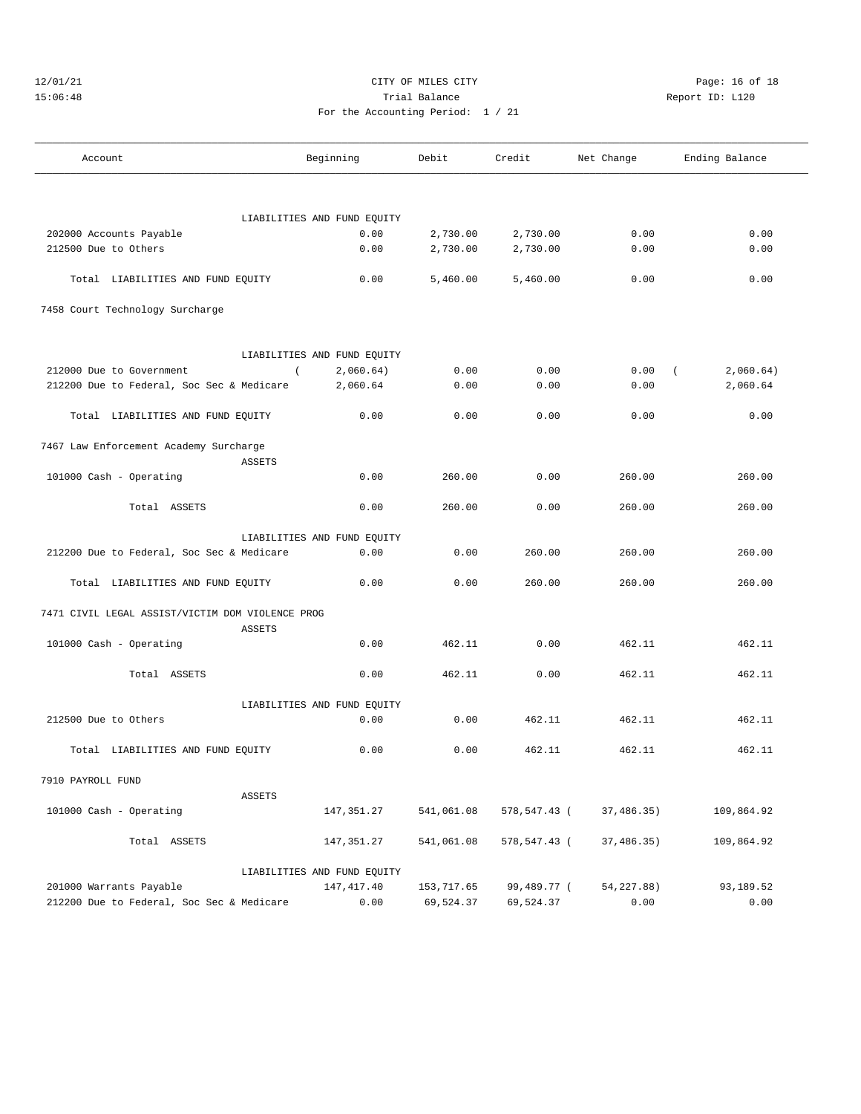# 12/01/21 Page: 16 of 18 15:06:48 Trial Balance Report ID: L120 For the Accounting Period: 1 / 21

——————————————————————————————————————————————————————————————————————————————————————————————————————————————————————————————————— Account and Beginning Debit Credit Net Change Ending Balance ———————————————————————————————————————————————————————————————————————————————————————————————————————————————————————————————————

Total LIABILITIES AND FUND EQUITY 0.00 5,460.00 5,460.00 0.00 0.00

LIABILITIES AND FUND EQUITY

| nting Period: 1 / 21 |  |  |
|----------------------|--|--|

 202000 Accounts Payable 0.00 2,730.00 2,730.00 0.00 0.00 212500 Due to Others 0.00 2,730.00 2,730.00 0.00 0.00

7458 Court Technology Surcharge

|                                                  | LIABILITIES AND FUND EQUITY |            |                            |                    |            |
|--------------------------------------------------|-----------------------------|------------|----------------------------|--------------------|------------|
| 212000 Due to Government                         | 2,060.64)<br>$\sqrt{2}$     | 0.00       | 0.00                       | 0.00<br>$\sqrt{2}$ | 2,060.64)  |
| 212200 Due to Federal, Soc Sec & Medicare        | 2,060.64                    | 0.00       | 0.00                       | 0.00               | 2,060.64   |
| Total LIABILITIES AND FUND EQUITY                | 0.00                        | 0.00       | 0.00                       | 0.00               | 0.00       |
| 7467 Law Enforcement Academy Surcharge           |                             |            |                            |                    |            |
| <b>ASSETS</b>                                    |                             |            |                            |                    |            |
| 101000 Cash - Operating                          | 0.00                        | 260.00     | 0.00                       | 260.00             | 260.00     |
| Total ASSETS                                     | 0.00                        | 260.00     | 0.00                       | 260.00             | 260.00     |
|                                                  | LIABILITIES AND FUND EQUITY |            |                            |                    |            |
| 212200 Due to Federal, Soc Sec & Medicare        | 0.00                        | 0.00       | 260.00                     | 260.00             | 260.00     |
| Total LIABILITIES AND FUND EQUITY                | 0.00                        | 0.00       | 260.00                     | 260.00             | 260.00     |
| 7471 CIVIL LEGAL ASSIST/VICTIM DOM VIOLENCE PROG |                             |            |                            |                    |            |
| ASSETS                                           |                             |            |                            |                    |            |
| 101000 Cash - Operating                          | 0.00                        | 462.11     | 0.00                       | 462.11             | 462.11     |
| Total ASSETS                                     | 0.00                        | 462.11     | 0.00                       | 462.11             | 462.11     |
|                                                  | LIABILITIES AND FUND EOUITY |            |                            |                    |            |
| 212500 Due to Others                             | 0.00                        | 0.00       | 462.11                     | 462.11             | 462.11     |
| Total LIABILITIES AND FUND EQUITY                | 0.00                        | 0.00       | 462.11                     | 462.11             | 462.11     |
| 7910 PAYROLL FUND                                |                             |            |                            |                    |            |
| ASSETS                                           |                             |            |                            |                    |            |
| 101000 Cash - Operating                          | 147,351.27                  | 541,061.08 | 578, 547. 43 (37, 486. 35) |                    | 109,864.92 |
| Total ASSETS                                     | 147,351.27                  | 541,061.08 | 578,547.43 (37,486.35)     |                    | 109,864.92 |
|                                                  | LIABILITIES AND FUND EQUITY |            |                            |                    |            |
| 201000 Warrants Payable                          | 147,417.40                  | 153,717.65 | 99,489.77 (54,227.88)      |                    | 93,189.52  |
| 212200 Due to Federal, Soc Sec & Medicare        | 0.00                        | 69,524.37  | 69,524.37                  | 0.00               | 0.00       |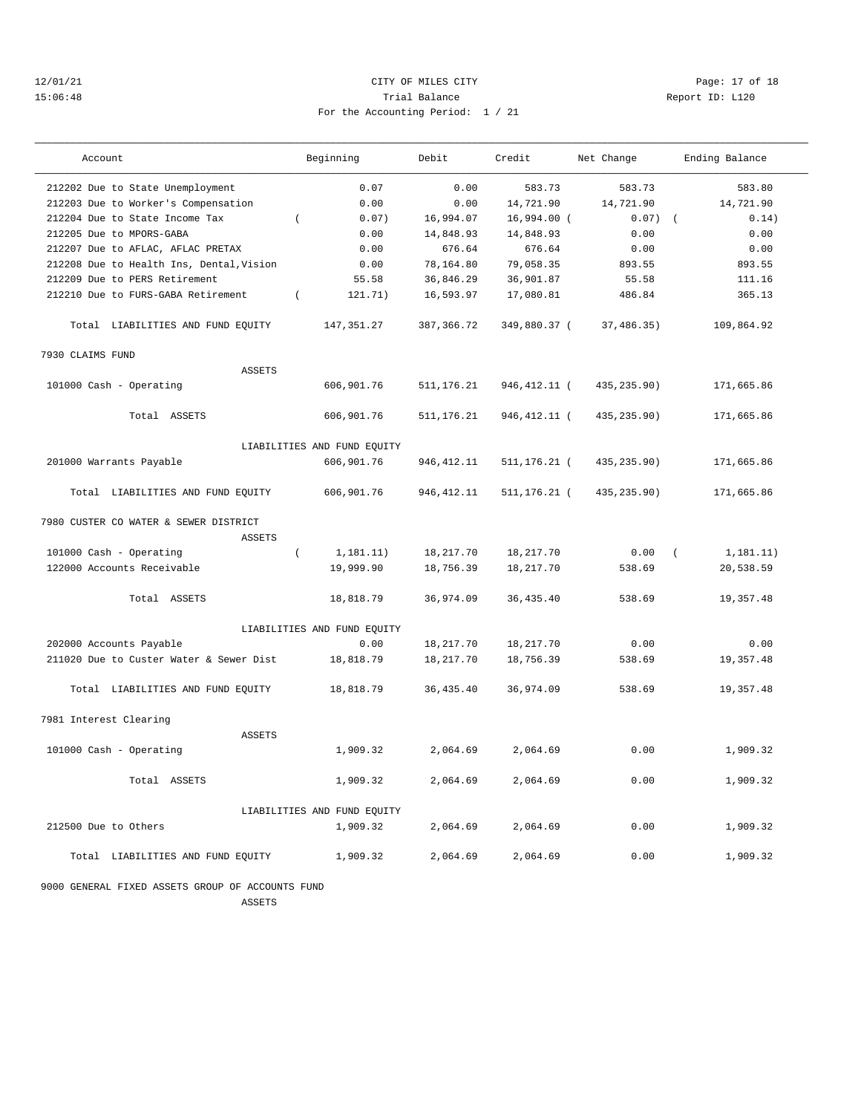# 12/01/21 Page: 17 of 18 15:06:48 Trial Balance Report ID: L120 For the Accounting Period: 1 / 21

| $\overline{1}$ $\overline{1}$ $\overline{1}$ |  |  |  |  |
|----------------------------------------------|--|--|--|--|

| Account                                                | Beginning                   | Debit       | Credit          | Net Change   | Ending Balance         |
|--------------------------------------------------------|-----------------------------|-------------|-----------------|--------------|------------------------|
| 212202 Due to State Unemployment                       | 0.07                        | 0.00        | 583.73          | 583.73       | 583.80                 |
| 212203 Due to Worker's Compensation                    | 0.00                        | 0.00        | 14,721.90       | 14,721.90    | 14,721.90              |
| 212204 Due to State Income Tax                         | 0.07)<br>$\left($           | 16,994.07   | 16,994.00 (     | $0.07)$ (    | 0.14)                  |
| 212205 Due to MPORS-GABA                               | 0.00                        | 14,848.93   | 14,848.93       | 0.00         | 0.00                   |
| 212207 Due to AFLAC, AFLAC PRETAX                      | 0.00                        | 676.64      | 676.64          | 0.00         | 0.00                   |
| 212208 Due to Health Ins, Dental, Vision               | 0.00                        | 78,164.80   | 79,058.35       | 893.55       | 893.55                 |
| 212209 Due to PERS Retirement                          | 55.58                       | 36,846.29   | 36,901.87       | 55.58        | 111.16                 |
| 212210 Due to FURS-GABA Retirement                     | 121.71)<br>$\left($         | 16,593.97   | 17,080.81       | 486.84       | 365.13                 |
| Total LIABILITIES AND FUND EQUITY                      | 147, 351.27                 | 387, 366.72 | 349,880.37 (    | 37,486.35)   | 109,864.92             |
| 7930 CLAIMS FUND                                       |                             |             |                 |              |                        |
| <b>ASSETS</b>                                          |                             |             |                 |              |                        |
| 101000 Cash - Operating                                | 606,901.76                  | 511, 176.21 | 946, 412. 11 (  | 435, 235.90) | 171,665.86             |
| Total ASSETS                                           | 606,901.76                  | 511, 176.21 | 946, 412. 11 (  | 435, 235.90) | 171,665.86             |
|                                                        | LIABILITIES AND FUND EQUITY |             |                 |              |                        |
| 201000 Warrants Payable                                | 606,901.76                  | 946, 412.11 | $511, 176.21$ ( | 435, 235.90) | 171,665.86             |
| Total LIABILITIES AND FUND EQUITY                      | 606,901.76                  | 946, 412.11 | $511, 176.21$ ( | 435,235.90)  | 171,665.86             |
| 7980 CUSTER CO WATER & SEWER DISTRICT<br><b>ASSETS</b> |                             |             |                 |              |                        |
| 101000 Cash - Operating                                | 1, 181.11)<br>$\left($      | 18,217.70   | 18,217.70       | 0.00         | 1, 181.11)<br>$\left($ |
| 122000 Accounts Receivable                             | 19,999.90                   | 18,756.39   | 18, 217. 70     | 538.69       | 20,538.59              |
|                                                        |                             |             |                 |              |                        |
| Total ASSETS                                           | 18,818.79                   | 36,974.09   | 36, 435.40      | 538.69       | 19,357.48              |
|                                                        | LIABILITIES AND FUND EQUITY |             |                 |              |                        |
| 202000 Accounts Payable                                | 0.00                        | 18,217.70   | 18, 217.70      | 0.00         | 0.00                   |
| 211020 Due to Custer Water & Sewer Dist                | 18,818.79                   | 18,217.70   | 18,756.39       | 538.69       | 19,357.48              |
| Total LIABILITIES AND FUND EQUITY                      | 18,818.79                   | 36, 435.40  | 36,974.09       | 538.69       | 19,357.48              |
| 7981 Interest Clearing                                 |                             |             |                 |              |                        |
| ASSETS                                                 |                             |             |                 |              |                        |
| 101000 Cash - Operating                                | 1,909.32                    | 2,064.69    | 2,064.69        | 0.00         | 1,909.32               |
| Total ASSETS                                           | 1,909.32                    | 2,064.69    | 2,064.69        | 0.00         | 1,909.32               |
|                                                        | LIABILITIES AND FUND EQUITY |             |                 |              |                        |
| 212500 Due to Others                                   | 1,909.32                    | 2,064.69    | 2,064.69        | 0.00         | 1,909.32               |
| Total LIABILITIES AND FUND EQUITY                      | 1,909.32                    | 2,064.69    | 2,064.69        | 0.00         | 1,909.32               |

9000 GENERAL FIXED ASSETS GROUP OF ACCOUNTS FUND

ASSETS